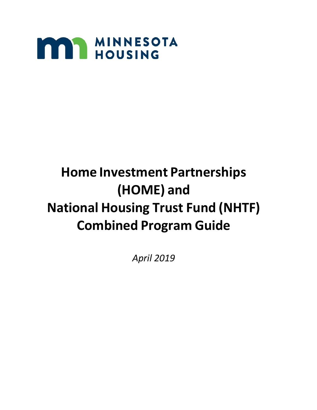

# **Home Investment Partnerships (HOME) and National Housing Trust Fund (NHTF) Combined Program Guide**

*April 2019*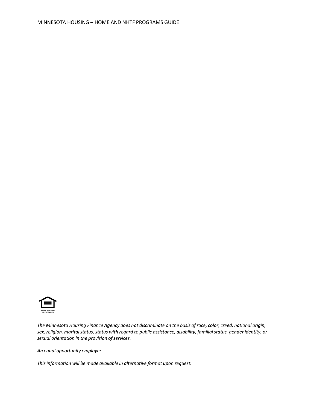

The Minnesota Housing Finance Agency does not discriminate on the basis of race, color, creed, national origin, *sex, religion, maritalstatus, status with regard to public assistance, disability, familialstatus, gender identity, or sexual orientation in the provision ofservices.*

*An equal opportunity employer.*

*Thisinformation will be made available in alternative format upon request.*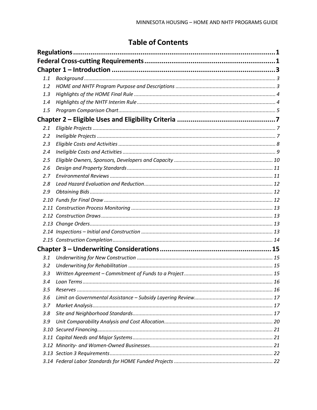# **Table of Contents**

| 1.1 |  |
|-----|--|
| 1.2 |  |
| 1.3 |  |
| 1.4 |  |
| 1.5 |  |
|     |  |
| 2.1 |  |
| 2.2 |  |
| 2.3 |  |
| 2.4 |  |
| 2.5 |  |
| 2.6 |  |
| 2.7 |  |
| 2.8 |  |
| 2.9 |  |
|     |  |
|     |  |
|     |  |
|     |  |
|     |  |
|     |  |
|     |  |
| 3.1 |  |
| 3.2 |  |
| 3.3 |  |
| 3.4 |  |
| 3.5 |  |
| 3.6 |  |
| 3.7 |  |
| 3.8 |  |
| 3.9 |  |
|     |  |
|     |  |
|     |  |
|     |  |
|     |  |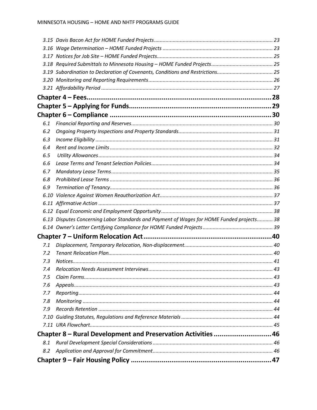|     | 3.19 Subordination to Declaration of Covenants, Conditions and Restrictions 25            |  |
|-----|-------------------------------------------------------------------------------------------|--|
|     |                                                                                           |  |
|     |                                                                                           |  |
|     |                                                                                           |  |
|     |                                                                                           |  |
|     |                                                                                           |  |
| 6.1 |                                                                                           |  |
| 6.2 |                                                                                           |  |
| 6.3 |                                                                                           |  |
| 6.4 |                                                                                           |  |
| 6.5 |                                                                                           |  |
| 6.6 |                                                                                           |  |
| 6.7 |                                                                                           |  |
| 6.8 |                                                                                           |  |
| 6.9 |                                                                                           |  |
|     |                                                                                           |  |
|     |                                                                                           |  |
|     |                                                                                           |  |
|     | 6.13 Disputes Concerning Labor Standards and Payment of Wages for HOME Funded projects 38 |  |
|     |                                                                                           |  |
|     |                                                                                           |  |
| 7.1 |                                                                                           |  |
| 7.2 |                                                                                           |  |
| 7.3 |                                                                                           |  |
| 7.4 |                                                                                           |  |
| 7.5 |                                                                                           |  |
| 7.6 |                                                                                           |  |
| 7.7 |                                                                                           |  |
| 7.8 |                                                                                           |  |
| 7.9 |                                                                                           |  |
|     |                                                                                           |  |
|     |                                                                                           |  |
|     | Chapter 8 - Rural Development and Preservation Activities  46                             |  |
| 8.1 |                                                                                           |  |
| 8.2 |                                                                                           |  |
|     |                                                                                           |  |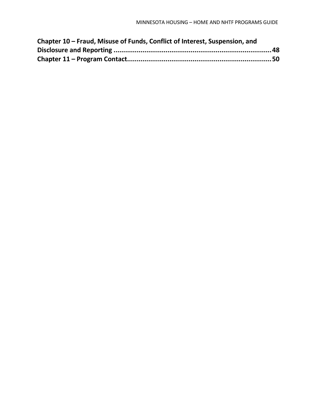| Chapter 10 – Fraud, Misuse of Funds, Conflict of Interest, Suspension, and |  |
|----------------------------------------------------------------------------|--|
|                                                                            |  |
|                                                                            |  |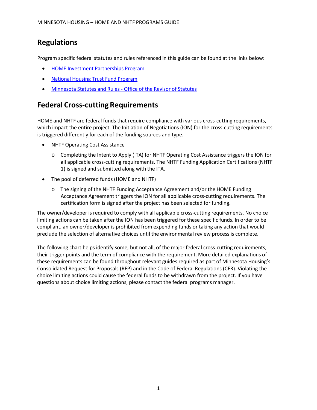# <span id="page-6-0"></span>**Regulations**

Program specific federal statutes and rules referenced in this guide can be found at the links below:

- HOME Investment [Partnerships](https://www.hudexchange.info/programs/home/) Program
- National [Housing Trust](https://www.hudexchange.info/programs/htf/) Fund Program
- [Minnesota Statutes](https://www.revisor.leg.state.mn.us/pubs/) and Rules Office of the Revisor of Statutes

# <span id="page-6-1"></span>**Federal Cross-cutting Requirements**

HOME and NHTF are federal funds that require compliance with various cross-cutting requirements, which impact the entire project. The Initiation of Negotiations (ION) for the cross-cutting requirements is triggered differently for each of the funding sources and type.

- NHTF Operating Cost Assistance
	- o Completing the Intent to Apply (ITA) for NHTF Operating Cost Assistance triggersthe ION for all applicable cross-cutting requirements. The NHTF Funding Application Certifications (NHTF 1) is signed and submitted along with the ITA.
- The pool of deferred funds (HOME and NHTF)
	- o The signing of the NHTF Funding Acceptance Agreement and/or the HOME Funding Acceptance Agreement triggers the ION for all applicable cross-cutting requirements. The certification form is signed after the project has been selected for funding.

The owner/developer is required to comply with all applicable cross-cutting requirements. No choice limiting actions can be taken after the ION has been triggered for these specific funds. In order to be compliant, an owner/developer is prohibited from expending funds or taking any action that would preclude the selection of alternative choices until the environmental review process is complete.

The following chart helps identify some, but not all, of the major federal cross-cutting requirements, their trigger points and the term of compliance with the requirement. More detailed explanations of these requirements can be found throughout relevant guides required as part of Minnesota Housing's Consolidated Request for Proposals (RFP) and in the Code of Federal Regulations (CFR). Violating the choice limiting actions could cause the federal funds to be withdrawn from the project. If you have questions about choice limiting actions, please contact the federal programs manager.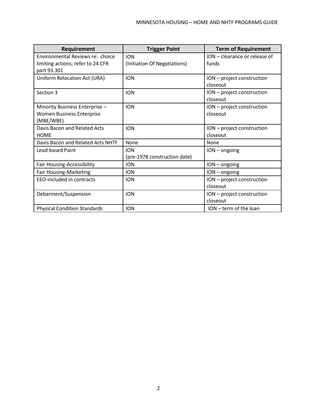| Requirement                         | <b>Trigger Point</b>         | <b>Term of Requirement</b>    |
|-------------------------------------|------------------------------|-------------------------------|
| Environmental Reviews re: choice    | <b>ION</b>                   | ION - clearance or release of |
| limiting actions; refer to 24 CFR   | (Initiation Of Negotiations) | funds                         |
| part 93.301                         |                              |                               |
| Uniform Relocation Act (URA)        | <b>ION</b>                   | ION - project construction    |
|                                     |                              | closeout                      |
| Section 3                           | <b>ION</b>                   | ION - project construction    |
|                                     |                              | closeout                      |
| Minority Business Enterprise -      | <b>ION</b>                   | ION - project construction    |
| <b>Women Business Enterprise</b>    |                              | closeout                      |
| (MBE/WBE)                           |                              |                               |
| Davis Bacon and Related Acts        | <b>ION</b>                   | ION - project construction    |
| <b>HOME</b>                         |                              | closeout                      |
| Davis Bacon and Related Acts NHTF   | None                         | None                          |
| Lead-based Paint                    | <b>ION</b>                   | $ION - ongoing$               |
|                                     | (pre-1978 construction date) |                               |
| Fair Housing-Accessibility          | <b>ION</b>                   | $ION - ongoing$               |
| <b>Fair Housing-Marketing</b>       | <b>ION</b>                   | $ION - ongoing$               |
| EEO-included in contracts           | <b>ION</b>                   | ION - project construction    |
|                                     |                              | closeout                      |
| Debarment/Suspension                | <b>ION</b>                   | ION - project construction    |
|                                     |                              | closeout                      |
| <b>Physical Condition Standards</b> | <b>ION</b>                   | ION - term of the loan        |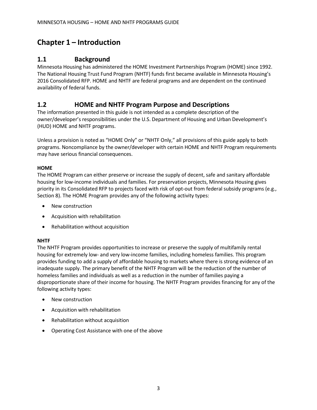# <span id="page-8-1"></span><span id="page-8-0"></span>**Chapter 1 – Introduction**

### **1.1 Background**

Minnesota Housing has administered the HOME Investment Partnerships Program (HOME) since 1992. The National Housing Trust Fund Program (NHTF) funds first became available in Minnesota Housing's 2016 Consolidated RFP. HOME and NHTF are federal programs and are dependent on the continued availability of federal funds.

# <span id="page-8-2"></span>**1.2 HOME and NHTF Program Purpose and Descriptions**

The information presented in this guide is not intended as a complete description of the owner/developer's responsibilities under the U.S. Department of Housing and Urban Development's (HUD) HOME and NHTF programs.

Unless a provision is noted as "HOME Only" or "NHTF Only," all provisions of this guide apply to both programs. Noncompliance by the owner/developer with certain HOME and NHTF Program requirements may have serious financial consequences.

#### **HOME**

The HOME Program can either preserve or increase the supply of decent, safe and sanitary affordable housing for low-income individuals and families. For preservation projects, Minnesota Housing gives priority in its Consolidated RFP to projects faced with risk of opt-out from federal subsidy programs (e.g., Section 8). The HOME Program provides any of the following activity types:

- New construction
- Acquisition with rehabilitation
- Rehabilitation without acquisition

#### **NHTF**

The NHTF Program provides opportunities to increase or preserve the supply of multifamily rental housing for extremely low- and very low-income families, including homeless families. This program provides funding to add a supply of affordable housing to markets where there is strong evidence of an inadequate supply. The primary benefit of the NHTF Program will be the reduction of the number of homeless families and individuals as well as a reduction in the number of families paying a disproportionate share of their income for housing. The NHTF Program provides financing for any of the following activity types:

- New construction
- Acquisition with rehabilitation
- Rehabilitation without acquisition
- Operating Cost Assistance with one of the above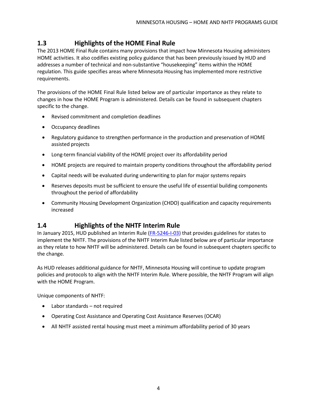# <span id="page-9-0"></span>**1.3 Highlights of the HOME Final Rule**

The 2013 HOME Final Rule contains many provisions that impact how Minnesota Housing administers HOME activities. It also codifies existing policy guidance that has been previously issued by HUD and addresses a number of technical and non-substantive "housekeeping" items within the HOME regulation. This guide specifies areas where Minnesota Housing has implemented more restrictive requirements.

The provisions of the HOME Final Rule listed below are of particular importance as they relate to changes in how the HOME Program is administered. Details can be found in subsequent chapters specific to the change.

- Revised commitment and completion deadlines
- Occupancy deadlines
- Regulatory guidance to strengthen performance in the production and preservation of HOME assisted projects
- Long-term financial viability of the HOME project over its affordability period
- HOME projects are required to maintain property conditions throughout the affordability period
- Capital needs will be evaluated during underwriting to plan for major systems repairs
- Reserves deposits must be sufficient to ensure the useful life of essential building components throughout the period of affordability
- Community Housing Development Organization (CHDO) qualification and capacity requirements increased

# <span id="page-9-1"></span>**1.4 Highlights of the NHTF Interim Rule**

In January 2015, HUD published an Interim Rule [\(FR-5246-I-03\)](https://www.hudexchange.info/resource/4406/housing-trust-fund-interim-rule/) that provides guidelines for states to implement the NHTF. The provisions of the NHTF Interim Rule listed below are of particular importance as they relate to how NHTF will be administered. Details can be found in subsequent chapters specific to the change.

As HUD releases additional guidance for NHTF, Minnesota Housing will continue to update program policies and protocols to align with the NHTF Interim Rule. Where possible, the NHTF Program will align with the HOME Program.

Unique components of NHTF:

- Labor standards not required
- Operating Cost Assistance and Operating Cost Assistance Reserves (OCAR)
- All NHTF assisted rental housing must meet a minimum affordability period of 30 years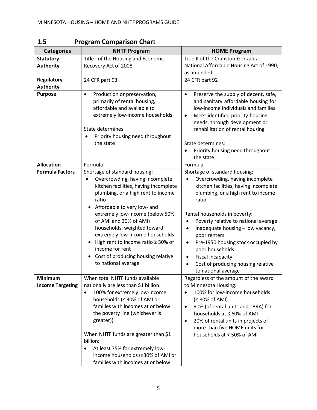| <b>Categories</b>                 | <b>NHTF Program</b>                                                                                                                                                                                                                                                                                                                                                                                                                                                                          | <b>HOME Program</b>                                                                                                                                                                                                                                                                                                                                                                                                                                                                                                                     |
|-----------------------------------|----------------------------------------------------------------------------------------------------------------------------------------------------------------------------------------------------------------------------------------------------------------------------------------------------------------------------------------------------------------------------------------------------------------------------------------------------------------------------------------------|-----------------------------------------------------------------------------------------------------------------------------------------------------------------------------------------------------------------------------------------------------------------------------------------------------------------------------------------------------------------------------------------------------------------------------------------------------------------------------------------------------------------------------------------|
| <b>Statutory</b>                  | Title I of the Housing and Economic                                                                                                                                                                                                                                                                                                                                                                                                                                                          | Title II of the Cranston-Gonzalez                                                                                                                                                                                                                                                                                                                                                                                                                                                                                                       |
| <b>Authority</b>                  | Recovery Act of 2008                                                                                                                                                                                                                                                                                                                                                                                                                                                                         | National Affordable Housing Act of 1990,                                                                                                                                                                                                                                                                                                                                                                                                                                                                                                |
|                                   |                                                                                                                                                                                                                                                                                                                                                                                                                                                                                              | as amended                                                                                                                                                                                                                                                                                                                                                                                                                                                                                                                              |
| <b>Regulatory</b>                 | 24 CFR part 93                                                                                                                                                                                                                                                                                                                                                                                                                                                                               | 24 CFR part 92                                                                                                                                                                                                                                                                                                                                                                                                                                                                                                                          |
| <b>Authority</b>                  |                                                                                                                                                                                                                                                                                                                                                                                                                                                                                              |                                                                                                                                                                                                                                                                                                                                                                                                                                                                                                                                         |
| <b>Purpose</b>                    | Production or preservation,<br>$\bullet$<br>primarily of rental housing,<br>affordable and available to<br>extremely low-income households<br>State determines:<br>Priority housing need throughout<br>the state                                                                                                                                                                                                                                                                             | Preserve the supply of decent, safe,<br>$\bullet$<br>and sanitary affordable housing for<br>low-income individuals and families<br>Meet identified priority housing<br>$\bullet$<br>needs, through development or<br>rehabilitation of rental housing<br>State determines:<br>Priority housing need throughout<br>the state                                                                                                                                                                                                             |
| <b>Allocation</b>                 | Formula                                                                                                                                                                                                                                                                                                                                                                                                                                                                                      | Formula                                                                                                                                                                                                                                                                                                                                                                                                                                                                                                                                 |
| <b>Formula Factors</b><br>Minimum | Shortage of standard housing:<br>Overcrowding, having incomplete<br>kitchen facilities, having incomplete<br>plumbing, or a high rent to income<br>ratio<br>Affordable to very low- and<br>extremely low-income (below 50%<br>of AMI and 30% of AMI)<br>households; weighted toward<br>extremely low-income households<br>High rent to income ratio ≥ 50% of<br>$\bullet$<br>income for rent<br>Cost of producing housing relative<br>to national average<br>When total NHTF funds available | Shortage of standard housing:<br>Overcrowding, having incomplete<br>$\bullet$<br>kitchen facilities, having incomplete<br>plumbing, or a high rent to income<br>ratio<br>Rental households in poverty:<br>Poverty relative to national average<br>٠<br>Inadequate housing - low vacancy,<br>$\bullet$<br>poor renters<br>Pre-1950 housing stock occupied by<br>٠<br>poor households<br><b>Fiscal incapacity</b><br>٠<br>Cost of producing housing relative<br>$\bullet$<br>to national average<br>Regardless of the amount of the award |
| <b>Income Targeting</b>           | nationally are less than \$1 billion:<br>100% for extremely low-income<br>households (≤ 30% of AMI or<br>families with incomes at or below<br>the poverty line (whichever is<br>greater))<br>When NHTF funds are greater than \$1<br>billion:<br>At least 75% for extremely low-<br>income households (≤30% of AMI or<br>families with incomes at or below                                                                                                                                   | to Minnesota Housing:<br>100% for low-income households<br>$\bullet$<br>(≤ 80% of AMI)<br>90% (of rental units and TBRA) for<br>$\bullet$<br>households at ≤ 60% of AMI<br>20% of rental units in projects of<br>$\bullet$<br>more than five HOME units for<br>households at < 50% of AMI                                                                                                                                                                                                                                               |

<span id="page-10-0"></span>**1.5 Program Comparison Chart**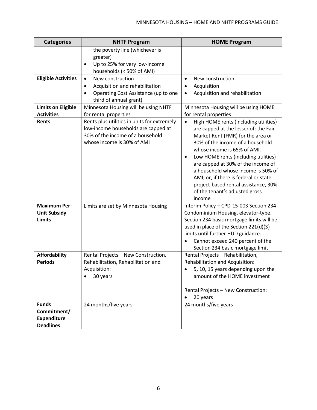| <b>Categories</b>                                                     | <b>NHTF Program</b>                                                                                                                                         | <b>HOME Program</b>                                                                                                                                                                                                                                                                                                                                                                                                                                               |
|-----------------------------------------------------------------------|-------------------------------------------------------------------------------------------------------------------------------------------------------------|-------------------------------------------------------------------------------------------------------------------------------------------------------------------------------------------------------------------------------------------------------------------------------------------------------------------------------------------------------------------------------------------------------------------------------------------------------------------|
|                                                                       | the poverty line (whichever is<br>greater)<br>Up to 25% for very low-income<br>$\bullet$<br>households (< 50% of AMI)                                       |                                                                                                                                                                                                                                                                                                                                                                                                                                                                   |
| <b>Eligible Activities</b>                                            | New construction<br>$\bullet$<br>Acquisition and rehabilitation<br>$\bullet$<br>Operating Cost Assistance (up to one<br>$\bullet$<br>third of annual grant) | New construction<br>$\bullet$<br>Acquisition<br>$\bullet$<br>Acquisition and rehabilitation<br>٠                                                                                                                                                                                                                                                                                                                                                                  |
| <b>Limits on Eligible</b><br><b>Activities</b>                        | Minnesota Housing will be using NHTF<br>for rental properties                                                                                               | Minnesota Housing will be using HOME<br>for rental properties                                                                                                                                                                                                                                                                                                                                                                                                     |
| Rents                                                                 | Rents plus utilities in units for extremely<br>low-income households are capped at<br>30% of the income of a household<br>whose income is 30% of AMI        | High HOME rents (including utilities)<br>$\bullet$<br>are capped at the lesser of: the Fair<br>Market Rent (FMR) for the area or<br>30% of the income of a household<br>whose income is 65% of AMI.<br>Low HOME rents (including utilities)<br>$\bullet$<br>are capped at 30% of the income of<br>a household whose income is 50% of<br>AMI, or, if there is federal or state<br>project-based rental assistance, 30%<br>of the tenant's adjusted gross<br>income |
| <b>Maximum Per-</b><br><b>Unit Subsidy</b><br><b>Limits</b>           | Limits are set by Minnesota Housing                                                                                                                         | Interim Policy - CPD-15-003 Section 234-<br>Condominium Housing, elevator-type.<br>Section 234 basic mortgage limits will be<br>used in place of the Section 221(d)(3)<br>limits until further HUD guidance.<br>Cannot exceed 240 percent of the<br>$\bullet$<br>Section 234 basic mortgage limit                                                                                                                                                                 |
| <b>Affordability</b><br><b>Periods</b>                                | Rental Projects - New Construction,<br>Rehabilitation, Rehabilitation and<br>Acquisition:<br>30 years                                                       | Rental Projects - Rehabilitation,<br>Rehabilitation and Acquisition:<br>5, 10, 15 years depending upon the<br>amount of the HOME investment<br>Rental Projects - New Construction:<br>20 years                                                                                                                                                                                                                                                                    |
| <b>Funds</b><br>Commitment/<br><b>Expenditure</b><br><b>Deadlines</b> | 24 months/five years                                                                                                                                        | 24 months/five years                                                                                                                                                                                                                                                                                                                                                                                                                                              |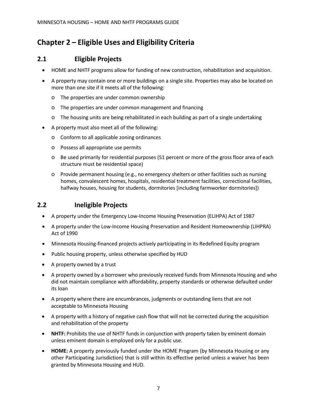# <span id="page-12-0"></span>**Chapter 2 – Eligible Uses and Eligibility Criteria**

# <span id="page-12-1"></span>**2.1 Eligible Projects**

- HOME and NHTF programs allow for funding of new construction, rehabilitation and acquisition.
- A property may contain one or more buildings on a single site. Properties may also be located on more than one site if it meets all of the following:
	- o The properties are under common ownership
	- o The properties are under common management and financing
	- $\circ$  The housing units are being rehabilitated in each building as part of a single undertaking
- A property must also meet all of the following:
	- o Conform to all applicable zoning ordinances
	- o Possess all appropriate use permits
	- o Be used primarily for residential purposes (51 percent or more of the gross floor area of each structure must be residential space)
	- $\circ$  Provide permanent housing (e.g., no emergency shelters or other facilities such as nursing homes, convalescent homes, hospitals, residential treatment facilities, correctional facilities, halfway houses, housing for students, dormitories [including farmworker dormitories])

# <span id="page-12-2"></span>**2.2 Ineligible Projects**

- A property under the Emergency Low-Income Housing Preservation (ELIHPA) Act of 1987
- A property under the Low-Income Housing Preservation and Resident Homeownership (LIHPRA) Act of 1990
- Minnesota Housing-financed projects actively participating in its Redefined Equity program
- Public housing property, unless otherwise specified by HUD
- A property owned by a trust
- A property owned by a borrower who previously received funds from Minnesota Housing and who did not maintain compliance with affordability, property standards or otherwise defaulted under its loan
- A property where there are encumbrances, judgments or outstanding liens that are not acceptable to Minnesota Housing
- A property with a history of negative cash flow that will not be corrected during the acquisition and rehabilitation of the property
- **NHTF:** Prohibits the use of NHTF funds in conjunction with property taken by eminent domain unless eminent domain is employed only for a public use.
- **HOME:** A property previously funded under the HOME Program (by Minnesota Housing or any other Participating Jurisdiction) that is still within its effective period unless a waiver has been granted by Minnesota Housing and HUD.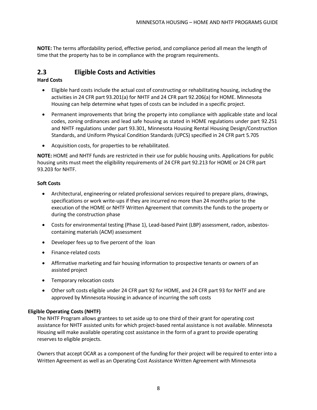**NOTE:** The terms affordability period, effective period, and compliance period all mean the length of time that the property has to be in compliance with the program requirements.

# <span id="page-13-0"></span>**2.3 Eligible Costs and Activities**

#### **Hard Costs**

- Eligible hard costs include the actual cost of constructing or rehabilitating housing, including the activities in 24 CFR part 93.201(a) for NHTF and 24 CFR part 92.206(a) for HOME. Minnesota Housing can help determine what types of costs can be included in a specific project.
- Permanent improvements that bring the property into compliance with applicable state and local codes, zoning ordinances and lead safe housing as stated in HOME regulations under part 92.251 and NHTF regulations under part 93.301, Minnesota Housing Rental Housing Design/Construction Standards, and Uniform Physical Condition Standards (UPCS) specified in 24 CFR part 5.705
- Acquisition costs, for properties to be rehabilitated.

**NOTE:** HOME and NHTF funds are restricted in their use for public housing units. Applications for public housing units must meet the eligibility requirements of 24 CFR part 92.213 for HOME or 24 CFR part 93.203 for NHTF.

#### **Soft Costs**

- Architectural, engineering or related professional services required to prepare plans, drawings, specifications or work write-ups if they are incurred no more than 24 months prior to the execution of the HOME or NHTF Written Agreement that commits the funds to the property or during the construction phase
- Costs for environmental testing (Phase 1), Lead-based Paint (LBP) assessment, radon, asbestoscontaining materials (ACM) assessment
- Developer fees up to five percent of the loan
- Finance-related costs
- Affirmative marketing and fair housing information to prospective tenants or owners of an assisted project
- Temporary relocation costs
- Other soft costs eligible under 24 CFR part 92 for HOME, and 24 CFR part 93 for NHTF and are approved by Minnesota Housing in advance of incurring the soft costs

#### **Eligible Operating Costs (NHTF)**

The NHTF Program allows grantees to set aside up to one third of their grant for operating cost assistance for NHTF assisted units for which project-based rental assistance is not available. Minnesota Housing will make available operating cost assistance in the form of a grant to provide operating reserves to eligible projects.

Owners that accept OCAR as a component of the funding for their project will be required to enter into a Written Agreement as well as an Operating Cost Assistance Written Agreement with Minnesota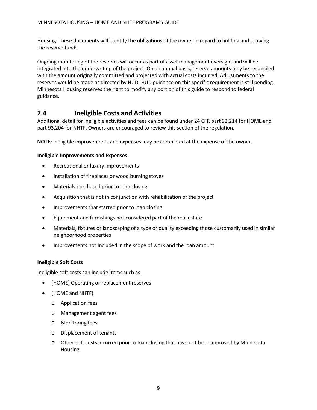Housing. These documents will identify the obligations of the owner in regard to holding and drawing the reserve funds.

Ongoing monitoring of the reserves will occur as part of asset management oversight and will be integrated into the underwriting of the project. On an annual basis, reserve amounts may be reconciled with the amount originally committed and projected with actual costs incurred. Adjustments to the reserves would be made as directed by HUD. HUD guidance on this specific requirement is still pending. Minnesota Housing reserves the right to modify any portion of this guide to respond to federal guidance.

# <span id="page-14-0"></span>**2.4 Ineligible Costs and Activities**

Additional detail for ineligible activities and fees can be found under 24 CFR part 92.214 for HOME and part 93.204 for NHTF. Owners are encouraged to review this section of the regulation.

**NOTE:** Ineligible improvements and expenses may be completed at the expense of the owner.

#### **Ineligible Improvements and Expenses**

- Recreational or luxury improvements
- Installation of fireplaces or wood burning stoves
- Materials purchased prior to loan closing
- Acquisition that is not in conjunction with rehabilitation of the project
- Improvements that started prior to loan closing
- Equipment and furnishings not considered part of the real estate
- Materials, fixtures or landscaping of a type or quality exceeding those customarily used in similar neighborhood properties
- Improvements not included in the scope of work and the loan amount

#### **Ineligible Soft Costs**

Ineligible soft costs can include items such as:

- (HOME) Operating or replacement reserves
- (HOME and NHTF)
	- o Application fees
	- o Management agent fees
	- o Monitoring fees
	- o Displacement of tenants
	- o Other soft costs incurred prior to loan closing that have not been approved by Minnesota Housing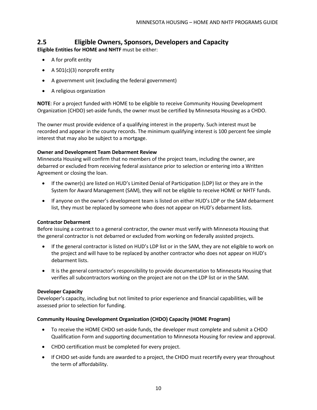# <span id="page-15-0"></span>**2.5 Eligible Owners, Sponsors, Developers and Capacity**

**Eligible Entities for HOME and NHTF** must be either:

- A for profit entity
- A 501(c)(3) nonprofit entity
- A government unit (excluding the federal government)
- A religious organization

**NOTE**: For a project funded with HOME to be eligible to receive Community Housing Development Organization (CHDO) set-aside funds, the owner must be certified by Minnesota Housing as a CHDO.

The owner must provide evidence of a qualifying interest in the property. Such interest must be recorded and appear in the county records. The minimum qualifying interest is 100 percent fee simple interest that may also be subject to a mortgage.

#### **Owner and Development Team Debarment Review**

Minnesota Housing will confirm that no members of the project team, including the owner, are debarred or excluded from receiving federal assistance prior to selection or entering into a Written Agreement or closing the loan.

- If the owner(s) are listed on HUD's Limited Denial of Participation (LDP) list or they are in the System for Award Management (SAM), they will not be eligible to receive HOME or NHTF funds.
- If anyone on the owner's development team is listed on either HUD's LDP or the SAM debarment list, they must be replaced by someone who does not appear on HUD's debarment lists.

#### **Contractor Debarment**

Before issuing a contract to a general contractor, the owner must verify with Minnesota Housing that the general contractor is not debarred or excluded from working on federally assisted projects.

- If the general contractor is listed on HUD's LDP list or in the SAM, they are not eligible to work on the project and will have to be replaced by another contractor who does not appear on HUD's debarment lists.
- It is the general contractor's responsibility to provide documentation to Minnesota Housing that verifies all subcontractors working on the project are not on the LDP list or in the SAM.

#### **Developer Capacity**

Developer's capacity, including but not limited to prior experience and financial capabilities, will be assessed prior to selection for funding.

#### **Community Housing Development Organization (CHDO) Capacity (HOME Program)**

- To receive the HOME CHDO set-aside funds, the developer must complete and submit a CHDO Qualification Form and supporting documentation to Minnesota Housing for review and approval.
- CHDO certification must be completed for every project.
- If CHDO set-aside funds are awarded to a project, the CHDO must recertify every year throughout the term of affordability.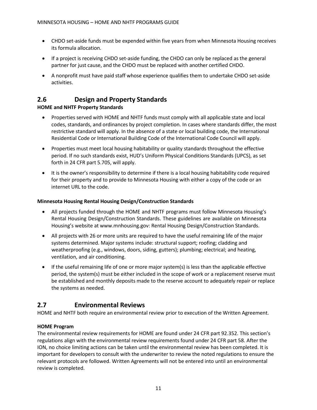- CHDO set-aside funds must be expended within five years from when Minnesota Housing receives its formula allocation.
- If a project is receiving CHDO set-aside funding, the CHDO can only be replaced as the general partner for just cause, and the CHDO must be replaced with another certified CHDO.
- A nonprofit must have paid staff whose experience qualifies them to undertake CHDO set-aside activities.

# <span id="page-16-0"></span>**2.6 Design and Property Standards**

#### **HOME and NHTF Property Standards**

- Properties served with HOME and NHTF funds must comply with all applicable state and local codes, standards, and ordinances by project completion. In cases where standards differ, the most restrictive standard will apply. In the absence of a state or local building code, the International Residential Code or International Building Code of the International Code Council will apply.
- Properties must meet local housing habitability or quality standards throughout the effective period. If no such standards exist, HUD's Uniform Physical Conditions Standards (UPCS), as set forth in 24 CFR part 5.705, will apply.
- It is the owner's responsibility to determine if there is a local housing habitability code required for their property and to provide to Minnesota Housing with either a copy of the code or an internet URL to the code.

#### **Minnesota Housing Rental Housing Design/Construction Standards**

- All projects funded through the HOME and NHTF programs must follow Minnesota Housing's Rental Housing Design/Construction Standards. These guidelines are available on Minnesota Housing's website at [www.mnhousing.gov:](http://www.mnhousing.gov/) Rental Housing Design/Construction Standards.
- All projects with 26 or more units are required to have the useful remaining life of the major systems determined. Major systems include: structural support; roofing; cladding and weatherproofing (e.g., windows, doors, siding, gutters); plumbing; electrical; and heating, ventilation, and air conditioning.
- If the useful remaining life of one or more major system(s) is less than the applicable effective period, the system(s) must be either included in the scope of work or a replacement reserve must be established and monthly deposits made to the reserve account to adequately repair or replace the systems as needed.

# <span id="page-16-1"></span>**2.7 Environmental Reviews**

HOME and NHTF both require an environmental review prior to execution of the Written Agreement.

#### **HOME Program**

The environmental review requirements for HOME are found under 24 CFR part 92.352. This section's regulations align with the environmental review requirements found under 24 CFR part 58. After the ION, no choice limiting actions can be taken until the environmental review has been completed. It is important for developers to consult with the underwriter to review the noted regulations to ensure the relevant protocols are followed. Written Agreements will not be entered into until an environmental review is completed.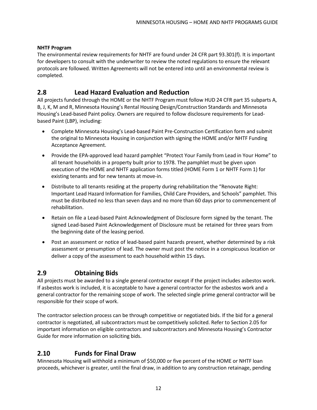#### **NHTF Program**

The environmental review requirements for NHTF are found under 24 CFR part 93.301(f). It is important for developers to consult with the underwriter to review the noted regulations to ensure the relevant protocols are followed. Written Agreements will not be entered into until an environmental review is completed.

#### <span id="page-17-0"></span>**2.8 Lead Hazard Evaluation and Reduction**

All projects funded through the HOME or the NHTF Program must follow HUD 24 CFR part 35 subparts A, B, J, K, M and R, Minnesota Housing's Rental Housing Design/Construction Standards and Minnesota Housing's Lead-based Paint policy. Owners are required to follow disclosure requirements for Leadbased Paint (LBP), including:

- Complete Minnesota Housing's Lead-based Paint Pre-Construction Certification form and submit the original to Minnesota Housing in conjunction with signing the HOME and/or NHTF Funding Acceptance Agreement.
- Provide the EPA-approved lead hazard pamphlet "Protect Your Family from Lead in Your Home" to all tenant households in a property built prior to 1978. The pamphlet must be given upon execution of the HOME and NHTF application forms titled (HOME Form 1 or NHTF Form 1) for existing tenants and for new tenants at move-in.
- Distribute to all tenants residing at the property during rehabilitation the "Renovate Right: Important Lead Hazard Information for Families, Child Care Providers, and Schools" pamphlet. This must be distributed no less than seven days and no more than 60 days prior to commencement of rehabilitation.
- Retain on file a Lead-based Paint Acknowledgment of Disclosure form signed by the tenant. The signed Lead-based Paint Acknowledgement of Disclosure must be retained for three years from the beginning date of the leasing period.
- Post an assessment or notice of lead-based paint hazards present, whether determined by a risk assessment or presumption of lead. The owner must post the notice in a conspicuous location or deliver a copy of the assessment to each household within 15 days.

# <span id="page-17-1"></span>**2.9 Obtaining Bids**

All projects must be awarded to a single general contractor except if the project includes asbestos work. If asbestos work is included, it is acceptable to have a general contractor for the asbestos work and a general contractor for the remaining scope of work. The selected single prime general contractor will be responsible for their scope of work.

The contractor selection process can be through competitive or negotiated bids. If the bid for a general contractor is negotiated, all subcontractors must be competitively solicited. Refer to Section 2.05 for important information on eligible contractors and subcontractors and Minnesota Housing's Contractor Guide for more information on soliciting bids.

# <span id="page-17-2"></span>**2.10 Funds for Final Draw**

Minnesota Housing will withhold a minimum of \$50,000 or five percent of the HOME or NHTF loan proceeds, whichever is greater, until the final draw, in addition to any construction retainage, pending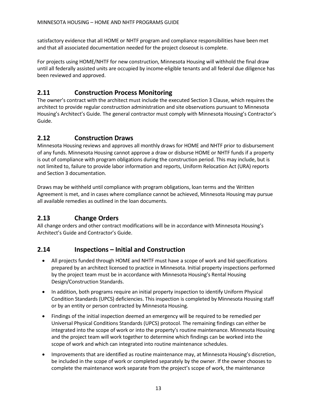satisfactory evidence that all HOME or NHTF program and compliance responsibilities have been met and that all associated documentation needed for the project closeout is complete.

For projects using HOME/NHTF for new construction, Minnesota Housing will withhold the final draw until all federally assisted units are occupied by income-eligible tenants and all federal due diligence has been reviewed and approved.

# <span id="page-18-0"></span>**2.11 Construction Process Monitoring**

The owner's contract with the architect must include the executed Section 3 Clause, which requires the architect to provide regular construction administration and site observations pursuant to Minnesota Housing's Architect's Guide. The general contractor must comply with Minnesota Housing's Contractor's Guide.

# <span id="page-18-1"></span>**2.12 Construction Draws**

Minnesota Housing reviews and approves all monthly draws for HOME and NHTF prior to disbursement of any funds. Minnesota Housing cannot approve a draw or disburse HOME or NHTF funds if a property is out of compliance with program obligations during the construction period. This may include, but is not limited to, failure to provide labor information and reports, Uniform Relocation Act (URA) reports and Section 3 documentation.

Draws may be withheld until compliance with program obligations, loan terms and the Written Agreement is met, and in cases where compliance cannot be achieved, Minnesota Housing may pursue all available remedies as outlined in the loan documents.

# <span id="page-18-2"></span>**2.13 Change Orders**

All change orders and other contract modifications will be in accordance with Minnesota Housing's Architect's Guide and Contractor's Guide.

# <span id="page-18-3"></span>**2.14 Inspections – Initial and Construction**

- All projects funded through HOME and NHTF must have a scope of work and bid specifications prepared by an architect licensed to practice in Minnesota. Initial property inspections performed by the project team must be in accordance with Minnesota Housing's Rental Housing Design/Construction Standards.
- In addition, both programs require an initial property inspection to identify Uniform Physical Condition Standards (UPCS) deficiencies. This inspection is completed by Minnesota Housing staff or by an entity or person contracted by Minnesota Housing.
- Findings of the initial inspection deemed an emergency will be required to be remedied per Universal Physical Conditions Standards (UPCS) protocol. The remaining findings can either be integrated into the scope of work or into the property's routine maintenance. Minnesota Housing and the project team will work together to determine which findings can be worked into the scope of work and which can integrated into routine maintenance schedules.
- Improvements that are identified as routine maintenance may, at Minnesota Housing's discretion, be included in the scope of work or completed separately by the owner. If the owner chooses to complete the maintenance work separate from the project's scope of work, the maintenance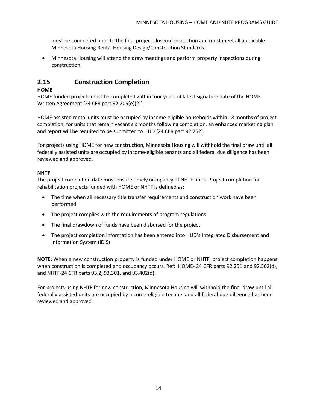must be completed prior to the final project closeout inspection and must meet all applicable Minnesota Housing Rental Housing Design/Construction Standards.

• Minnesota Housing will attend the draw meetings and perform property inspections during construction.

# <span id="page-19-0"></span>**2.15 Construction Completion**

#### **HOME**

HOME funded projects must be completed within four years of latest signature date of the HOME Written Agreement [24 CFR part 92.205(e)(2)].

HOME assisted rental units must be occupied by income-eligible households within 18 months of project completion; for units that remain vacant six months following completion, an enhanced marketing plan and report will be required to be submitted to HUD [24 CFR part 92.252].

For projects using HOME for new construction, Minnesota Housing will withhold the final draw until all federally assisted units are occupied by income-eligible tenants and all federal due diligence has been reviewed and approved.

#### **NHTF**

The project completion date must ensure timely occupancy of NHTF units. Project completion for rehabilitation projects funded with HOME or NHTF is defined as:

- The time when all necessary title transfer requirements and construction work have been performed
- The project complies with the requirements of program regulations
- The final drawdown of funds have been disbursed for the project
- The project completion information has been entered into HUD's Integrated Disbursement and Information System (IDIS)

**NOTE:** When a new construction property is funded under HOME or NHTF, project completion happens when construction is completed and occupancy occurs. Ref: HOME- 24 CFR parts 92.251 and 92.502(d), and NHTF-24 CFR parts 93.2, 93.301, and 93.402(d).

For projects using NHTF for new construction, Minnesota Housing will withhold the final draw until all federally assisted units are occupied by income-eligible tenants and all federal due diligence has been reviewed and approved.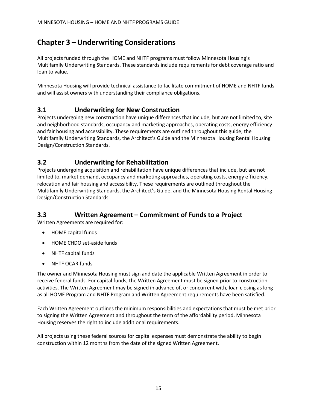# <span id="page-20-0"></span>**Chapter 3 – Underwriting Considerations**

All projects funded through the HOME and NHTF programs must follow Minnesota Housing's Multifamily Underwriting Standards. These standards include requirements for debt coverage ratio and loan to value.

Minnesota Housing will provide technical assistance to facilitate commitment of HOME and NHTF funds and will assist owners with understanding their compliance obligations.

# <span id="page-20-1"></span>**3.1 Underwriting for New Construction**

Projects undergoing new construction have unique differences that include, but are not limited to, site and neighborhood standards, occupancy and marketing approaches, operating costs, energy efficiency and fair housing and accessibility. These requirements are outlined throughout this guide, the Multifamily Underwriting Standards, the Architect's Guide and the Minnesota Housing Rental Housing Design/Construction Standards.

# <span id="page-20-2"></span>**3.2 Underwriting for Rehabilitation**

Projects undergoing acquisition and rehabilitation have unique differences that include, but are not limited to, market demand, occupancy and marketing approaches, operating costs, energy efficiency, relocation and fair housing and accessibility. These requirements are outlined throughout the Multifamily Underwriting Standards, the Architect's Guide, and the Minnesota Housing Rental Housing Design/Construction Standards.

# <span id="page-20-3"></span>**3.3 Written Agreement – Commitment of Funds to a Project**

Written Agreements are required for:

- HOME capital funds
- HOME CHDO set-aside funds
- NHTF capital funds
- NHTF OCAR funds

The owner and Minnesota Housing must sign and date the applicable Written Agreement in order to receive federal funds. For capital funds, the Written Agreement must be signed prior to construction activities. The Written Agreement may be signed in advance of, or concurrent with, loan closing as long as all HOME Program and NHTF Program and Written Agreement requirements have been satisfied.

Each Written Agreement outlines the minimum responsibilities and expectations that must be met prior to signing the Written Agreement and throughout the term of the affordability period. Minnesota Housing reserves the right to include additional requirements.

All projects using these federal sources for capital expenses must demonstrate the ability to begin construction within 12 months from the date of the signed Written Agreement.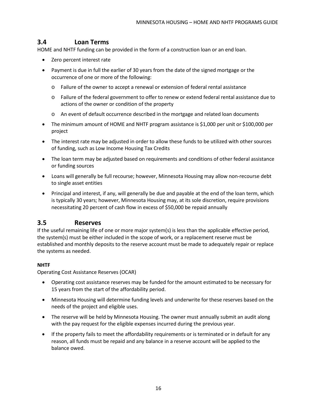# <span id="page-21-0"></span>**3.4 Loan Terms**

HOME and NHTF funding can be provided in the form of a construction loan or an end loan.

- Zero percent interest rate
- Payment is due in full the earlier of 30 years from the date of the signed mortgage or the occurrence of one or more of the following:
	- o Failure of the owner to accept a renewal or extension of federal rental assistance
	- o Failure of the federal government to offer to renew or extend federal rental assistance due to actions of the owner or condition of the property
	- o An event of default occurrence described in the mortgage and related loan documents
- The minimum amount of HOME and NHTF program assistance is \$1,000 per unit or \$100,000 per project
- The interest rate may be adjusted in order to allow these funds to be utilized with other sources of funding, such as Low Income Housing Tax Credits
- The loan term may be adjusted based on requirements and conditions of other federal assistance or funding sources
- Loans will generally be full recourse; however, Minnesota Housing may allow non-recourse debt to single asset entities
- Principal and interest, if any, will generally be due and payable at the end of the loan term, which is typically 30 years; however, Minnesota Housing may, at its sole discretion, require provisions necessitating 20 percent of cash flow in excess of \$50,000 be repaid annually

### <span id="page-21-1"></span>**3.5 Reserves**

If the useful remaining life of one or more major system(s) is less than the applicable effective period, the system(s) must be either included in the scope of work, or a replacement reserve must be established and monthly deposits to the reserve account must be made to adequately repair or replace the systems as needed.

#### **NHTF**

Operating Cost Assistance Reserves (OCAR)

- Operating cost assistance reserves may be funded for the amount estimated to be necessary for 15 years from the start of the affordability period.
- Minnesota Housing will determine funding levels and underwrite for these reserves based on the needs of the project and eligible uses.
- The reserve will be held by Minnesota Housing. The owner must annually submit an audit along with the pay request for the eligible expenses incurred during the previous year.
- If the property fails to meet the affordability requirements or is terminated or in default for any reason, all funds must be repaid and any balance in a reserve account will be applied to the balance owed.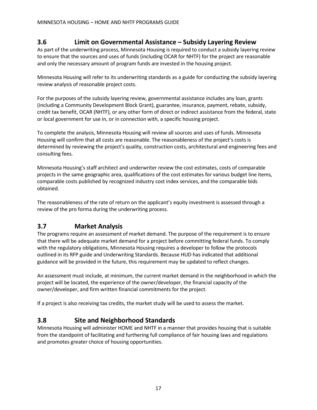# <span id="page-22-0"></span>**3.6 Limit on Governmental Assistance – Subsidy Layering Review**

As part of the underwriting process, Minnesota Housing is required to conduct a subsidy layering review to ensure that the sources and uses of funds (including OCAR for NHTF) for the project are reasonable and only the necessary amount of program funds are invested in the housing project.

Minnesota Housing will refer to its underwriting standards as a guide for conducting the subsidy layering review analysis of reasonable project costs.

For the purposes of the subsidy layering review, governmental assistance includes any loan, grants (including a Community Development Block Grant), guarantee, insurance, payment, rebate, subsidy, credit tax benefit, OCAR (NHTF), or any other form of direct or indirect assistance from the federal, state or local government for use in, or in connection with, a specific housing project.

To complete the analysis, Minnesota Housing will review all sources and uses of funds. Minnesota Housing will confirm that all costs are reasonable. The reasonableness of the project's costs is determined by reviewing the project's quality, construction costs, architectural and engineering fees and consulting fees.

Minnesota Housing's staff architect and underwriter review the cost estimates, costs of comparable projects in the same geographic area, qualifications of the cost estimates for various budget line items, comparable costs published by recognized industry cost index services, and the comparable bids obtained.

The reasonableness of the rate of return on the applicant's equity investment is assessed through a review of the pro forma during the underwriting process.

# <span id="page-22-1"></span>**3.7 Market Analysis**

The programs require an assessment of market demand. The purpose of the requirement is to ensure that there will be adequate market demand for a project before committing federal funds. To comply with the regulatory obligations, Minnesota Housing requires a developer to follow the protocols outlined in its RFP guide and Underwriting Standards. Because HUD has indicated that additional guidance will be provided in the future, this requirement may be updated to reflect changes.

An assessment must include, at minimum, the current market demand in the neighborhood in which the project will be located, the experience of the owner/developer, the financial capacity of the owner/developer, and firm written financial commitments for the project.

If a project is also receiving tax credits, the market study will be used to assess the market.

### <span id="page-22-2"></span>**3.8 Site and Neighborhood Standards**

Minnesota Housing will administer HOME and NHTF in a manner that provides housing that is suitable from the standpoint of facilitating and furthering full compliance of fair housing laws and regulations and promotes greater choice of housing opportunities.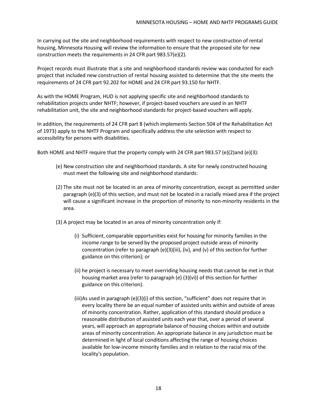In carrying out the site and neighborhood requirements with respect to new construction of rental housing, Minnesota Housing will review the information to ensure that the proposed site for new construction meets the requirements in 24 CFR part 983.57(e)(2).

Project records must illustrate that a site and neighborhood standards review was conducted for each project that included new construction of rental housing assisted to determine that the site meets the requirements of 24 CFR part 92.202 for HOME and 24 CFR part 93.150 for NHTF.

As with the HOME Program, HUD is not applying specific site and neighborhood standards to rehabilitation projects under NHTF; however, if project-based vouchers are used in an NHTF rehabilitation unit, the site and neighborhood standards for project-based vouchers will apply.

In addition, the requirements of 24 CFR part 8 (which implements Section 504 of the Rehabilitation Act of 1973) apply to the NHTF Program and specifically address the site selection with respect to accessibility for persons with disabilities.

Both HOME and NHTF require that the property comply with 24 CFR part 983.57 (e)(2)and (e)(3):

- (e) New construction site and neighborhood standards. A site for newly constructed housing must meet the following site and neighborhood standards:
- (2) The site must not be located in an area of minority concentration, except as permitted under paragraph (e)(3) of this section, and must not be located in a racially mixed area if the project will cause a significant increase in the proportion of minority to non-minority residents in the area.
- (3) A project may be located in an area of minority concentration only if:
	- (i) Sufficient, comparable opportunities exist for housing for minority families in the income range to be served by the proposed project outside areas of minority concentration (refer to paragraph (e)(3)(iii), (iv), and (v) of this section for further guidance on this criterion); or
	- (ii) he project is necessary to meet overriding housing needs that cannot be met in that housing market area (refer to paragraph (e) (3)(vi)) of this section for further guidance on this criterion).
	- (iii)As used in paragraph (e)(3)(i) of this section, "sufficient" does not require that in every locality there be an equal number of assisted units within and outside of areas of minority concentration. Rather, application of this standard should produce a reasonable distribution of assisted units each year that, over a period of several years, will approach an appropriate balance of housing choices within and outside areas of minority concentration. An appropriate balance in any jurisdiction must be determined in light of local conditions affecting the range of housing choices available for low-income minority families and in relation to the racial mix of the locality's population.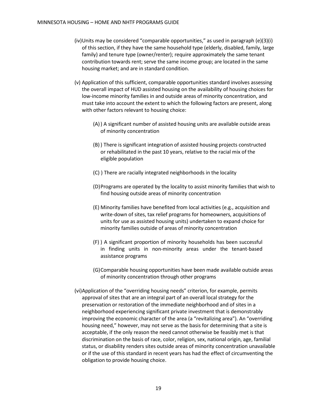- (iv)Units may be considered "comparable opportunities," as used in paragraph  $(e)(3)(i)$ of this section, if they have the same household type (elderly, disabled, family, large family) and tenure type (owner/renter); require approximately the same tenant contribution towards rent; serve the same income group; are located in the same housing market; and are in standard condition.
- (v) Application of this sufficient, comparable opportunities standard involves assessing the overall impact of HUD assisted housing on the availability of housing choices for low-income minority families in and outside areas of minority concentration, and must take into account the extent to which the following factors are present, along with other factors relevant to housing choice:
	- (A)) A significant number of assisted housing units are available outside areas of minority concentration
	- (B) ) There is significant integration of assisted housing projects constructed or rehabilitated in the past 10 years, relative to the racial mix of the eligible population
	- (C) ) There are racially integrated neighborhoods in the locality
	- (D)Programs are operated by the locality to assist minority families that wish to find housing outside areas of minority concentration
	- (E) Minority families have benefited from local activities (e.g., acquisition and write-down of sites, tax relief programs for homeowners, acquisitions of units for use as assisted housing units) undertaken to expand choice for minority families outside of areas of minority concentration
	- (F) ) A significant proportion of minority households has been successful in finding units in non-minority areas under the tenant-based assistance programs
	- (G)Comparable housing opportunities have been made available outside areas of minority concentration through other programs
- (vi)Application of the "overriding housing needs" criterion, for example, permits approval of sites that are an integral part of an overall local strategy for the preservation or restoration of the immediate neighborhood and of sites in a neighborhood experiencing significant private investment that is demonstrably improving the economic character of the area (a "revitalizing area"). An "overriding housing need," however, may not serve as the basis for determining that a site is acceptable, if the only reason the need cannot otherwise be feasibly met is that discrimination on the basis of race, color, religion, sex, national origin, age, familial status, or disability renders sites outside areas of minority concentration unavailable or if the use of this standard in recent years has had the effect of circumventing the obligation to provide housing choice.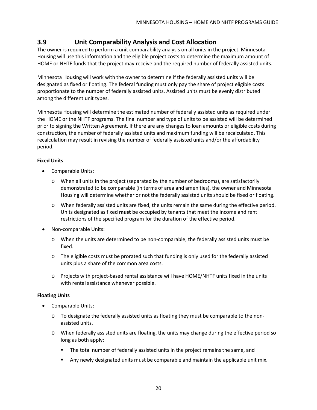# <span id="page-25-0"></span>**3.9 Unit Comparability Analysis and Cost Allocation**

The owner is required to perform a unit comparability analysis on all units in the project. Minnesota Housing will use this information and the eligible project costs to determine the maximum amount of HOME or NHTF funds that the project may receive and the required number of federally assisted units.

Minnesota Housing will work with the owner to determine if the federally assisted units will be designated as fixed or floating. The federal funding must only pay the share of project eligible costs proportionate to the number of federally assisted units. Assisted units must be evenly distributed among the different unit types.

Minnesota Housing will determine the estimated number of federally assisted units as required under the HOME or the NHTF programs. The final number and type of units to be assisted will be determined prior to signing the Written Agreement. If there are any changes to loan amounts or eligible costs during construction, the number of federally assisted units and maximum funding will be recalculated. This recalculation may result in revising the number of federally assisted units and/or the affordability period.

#### **Fixed Units**

- Comparable Units:
	- o When all units in the project (separated by the number of bedrooms), are satisfactorily demonstrated to be comparable (in terms of area and amenities), the owner and Minnesota Housing will determine whether or not the federally assisted units should be fixed or floating.
	- o When federally assisted units are fixed, the units remain the same during the effective period. Units designated as fixed **must** be occupied by tenants that meet the income and rent restrictions of the specified program for the duration of the effective period.
- Non-comparable Units:
	- o When the units are determined to be non-comparable, the federally assisted units must be fixed.
	- o The eligible costs must be prorated such that funding is only used for the federally assisted units plus a share of the common area costs.
	- o Projects with project-based rental assistance will have HOME/NHTF units fixed in the units with rental assistance whenever possible.

#### **Floating Units**

- Comparable Units:
	- o To designate the federally assisted units as floating they must be comparable to the nonassisted units.
	- o When federally assisted units are floating, the units may change during the effective period so long as both apply:
		- **The total number of federally assisted units in the project remains the same, and**
		- Any newly designated units must be comparable and maintain the applicable unit mix.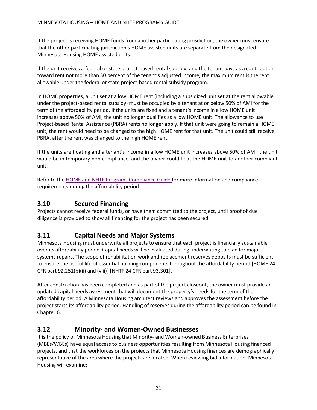If the project is receiving HOME funds from another participating jurisdiction, the owner must ensure that the other participating jurisdiction's HOME assisted units are separate from the designated Minnesota Housing HOME assisted units.

If the unit receives a federal or state project-based rental subsidy, and the tenant pays as a contribution toward rent not more than 30 percent of the tenant's adjusted income, the maximum rent is the rent allowable under the federal or state project-based rental subsidy program.

In HOME properties, a unit set at a low HOME rent (including a subsidized unit set at the rent allowable under the project-based rental subsidy) must be occupied by a tenant at or below 50% of AMI for the term of the affordability period. If the units are fixed and a tenant's income in a low HOME unit increases above 50% of AMI, the unit no longer qualifies as a low HOME unit. The allowance to use Project-based Rental Assistance (PBRA) rents no longer apply. If that unit were going to remain a HOME unit, the rent would need to be changed to the high HOME rent for that unit. The unit could still receive PBRA, after the rent was changed to the high HOME rent.

If the units are floating and a tenant's income in a low HOME unit increases above 50% of AMI, the unit would be in temporary non-compliance, and the owner could float the HOME unit to another compliant unit.

Refer to the HOME [and NHTF Programs](http://www.mnhousing.gov/get/MHFA_008993) Compliance Guide for more information and compliance requirements during the affordability period.

# <span id="page-26-0"></span>**3.10 Secured Financing**

Projects cannot receive federal funds, or have them committed to the project, until proof of due diligence is provided to show all financing for the project has been secured.

# <span id="page-26-1"></span>**3.11 Capital Needs and Major Systems**

Minnesota Housing must underwrite all projects to ensure that each project is financially sustainable over its affordability period. Capital needs will be evaluated during underwriting to plan for major systems repairs. The scope of rehabilitation work and replacement reserves deposits must be sufficient to ensure the useful life of essential building components throughout the affordability period [HOME 24 CFR part 92.251(b)(ii) and (viii)] [NHTF 24 CFR part 93.301].

After construction has been completed and as part of the project closeout, the owner must provide an updated capital needs assessment that will document the property's needs for the term of the affordability period. A Minnesota Housing architect reviews and approves the assessment before the project starts its affordability period. Handling of reserves during the affordability period can be found in Chapter 6.

# <span id="page-26-2"></span>**3.12 Minority- and Women-Owned Businesses**

It is the policy of Minnesota Housing that Minority- and Women-owned Business Enterprises (MBEs/WBEs) have equal access to business opportunities resulting from Minnesota Housing financed projects, and that the workforces on the projects that Minnesota Housing finances are demographically representative of the area where the projects are located. When reviewing bid information, Minnesota Housing will examine: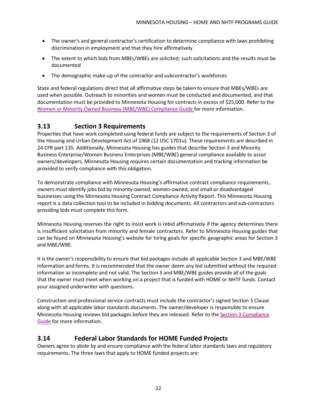- The owner's and general contractor's certification to determine compliance with laws prohibiting discrimination in employment and that they hire affirmatively
- The extent to which bids from MBEs/WBEs are solicited; such solicitations and the results must be documented
- The demographic make-up of the contractor and subcontractor's workforces

State and federal regulations direct that all affirmative steps be taken to ensure that MBEs/WBEs are used when possible. Outreach to minorities and women must be conducted and documented, and that documentation must be provided to Minnesota Housing for contracts in excess of \$25,000. Refer to the Women or Minority [Owned Business](http://www.mnhousing.gov/get/MHFA_1040662) (MBE/WBE) Compliance Guide for more information.

# <span id="page-27-0"></span>**3.13 Section 3 Requirements**

Properties that have work completed using federal funds are subject to the requirements of Section 3 of the Housing and Urban Development Act of 1968 (12 USC 1701u). These requirements are described in 24 CFR part 135. Additionally, Minnesota Housing has guides that describe Section 3 and Minority Business Enterprise/Women Business Enterprises (MBE/WBE) general compliance available to assist owners/developers. Minnesota Housing requires certain documentation and tracking information be provided to verify compliance with this obligation.

To demonstrate compliance with Minnesota Housing's affirmative contract compliance requirements, owners must identify jobs bid by minority-owned, women-owned, and small or disadvantaged businesses using the Minnesota Housing Contract Compliance Activity Report. This Minnesota Housing report is a data collection tool to be included in bidding documents. All contractors and sub-contractors providing bids must complete this form.

Minnesota Housing reserves the right to insist work is rebid affirmatively if the agency determines there is insufficient solicitation from minority and female contractors. Refer to Minnesota Housing guides that can be found on Minnesota Housing's website for hiring goals for specific geographic areas for Section 3 and MBE/WBE.

It is the owner's responsibility to ensure that bid packages include all applicable Section 3 and MBE/WBE information and forms. It is recommended that the owner deem any bid submitted without the required information as incomplete and not valid. The Section 3 and MBE/WBE guides provide all of the goals that the owner must meet when working on a project that is funded with HOME or NHTF funds. Contact your assigned underwriter with questions.

Construction and professional service contracts must include the contractor's signed Section 3 Clause along with all applicable labor standards documents. The owner/developer is responsible to ensure Minnesota Housing reviews bid packages before they are released. Refer to the Section 3 [Compliance](http://www.mnhousing.gov/get/MHFA_012427) [Guide](http://www.mnhousing.gov/get/MHFA_012427) for more information.

# <span id="page-27-1"></span>**3.14 Federal Labor Standards for HOME Funded Projects**

Owners agree to abide by and ensure compliance with the federal labor standards laws and regulatory requirements. The three laws that apply to HOME funded projects are: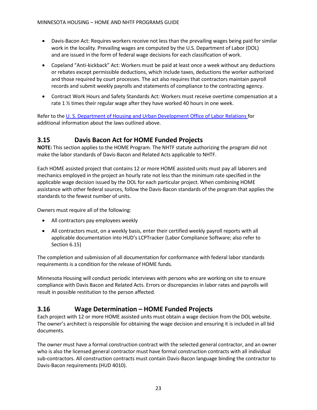- Davis-Bacon Act: Requires workers receive not less than the prevailing wages being paid for similar work in the locality. Prevailing wages are computed by the U.S. Department of Labor (DOL) and are issued in the form of federal wage decisions for each classification of work.
- Copeland "Anti-kickback" Act: Workers must be paid at least once a week without any deductions or rebates except permissible deductions, which include taxes, deductions the worker authorized and those required by court processes. The act also requires that contractors maintain payroll records and submit weekly payrolls and statements of compliance to the contracting agency.
- Contract Work Hours and Safety Standards Act: Workers must receive overtime compensation at a rate 1 ½ times their regular wage after they have worked 40 hours in one week.

Refer to the U. S. Department of [Housing and Urban](https://www.hud.gov/states/shared/working/r8/olr/index) Development Office of Labor Relations for additional information about the laws outlined above.

# <span id="page-28-0"></span>**3.15 Davis Bacon Act for HOME Funded Projects**

**NOTE:** This section applies to the HOME Program. The NHTF statute authorizing the program did not make the labor standards of Davis-Bacon and Related Acts applicable to NHTF.

Each HOME assisted project that contains 12 or more HOME assisted units must pay all laborers and mechanics employed in the project an hourly rate not less than the minimum rate specified in the applicable wage decision issued by the DOL for each particular project. When combining HOME assistance with other federal sources, follow the Davis-Bacon standards of the program that applies the standards to the fewest number of units.

Owners must require all of the following:

- All contractors pay employees weekly
- All contractors must, on a weekly basis, enter their certified weekly payroll reports with all applicable documentation into HUD's LCPTracker (Labor Compliance Software; also refer to Section 6.15)

The completion and submission of all documentation for conformance with federal labor standards requirements is a condition for the release of HOME funds.

Minnesota Housing will conduct periodic interviews with persons who are working on site to ensure compliance with Davis Bacon and Related Acts. Errors or discrepancies in labor rates and payrolls will result in possible restitution to the person affected.

# <span id="page-28-1"></span>**3.16 Wage Determination – HOME Funded Projects**

Each project with 12 or more HOME assisted units must obtain a wage decision from the DOL website. The owner's architect is responsible for obtaining the wage decision and ensuring it is included in all bid documents.

The owner must have a formal construction contract with the selected general contractor, and an owner who is also the licensed general contractor must have formal construction contracts with all individual sub-contractors. All construction contracts must contain Davis-Bacon language binding the contractor to Davis-Bacon requirements (HUD 4010).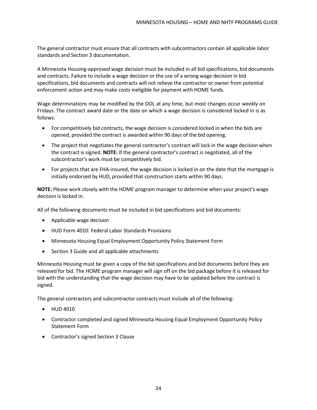The general contractor must ensure that all contracts with subcontractors contain all applicable labor standards and Section 3 documentation.

A Minnesota Housing-approved wage decision must be included in all bid specifications, bid documents and contracts. Failure to include a wage decision or the use of a wrong wage decision in bid specifications, bid documents and contracts will not relieve the contractor or owner from potential enforcement action and may make costs ineligible for payment with HOME funds.

Wage determinations may be modified by the DOL at any time, but most changes occur weekly on Fridays. The contract award date or the date on which a wage decision is considered locked in is as follows:

- For competitively bid contracts, the wage decision is considered locked in when the bids are opened, provided the contract is awarded within 90 days of the bid opening.
- The project that negotiates the general contractor's contract will lock in the wage decision when the contract is signed. **NOTE:** If the general contractor's contract is negotiated, all of the subcontractor's work must be competitively bid.
- For projects that are FHA-insured, the wage decision is locked in on the date that the mortgage is initially endorsed by HUD, provided that construction starts within 90 days.

**NOTE:** Please work closely with the HOME program manager to determine when your project's wage decision is locked in.

All of the following documents must be included in bid specifications and bid documents:

- Applicable wage decision
- HUD Form 4010: Federal Labor Standards Provisions
- Minnesota Housing Equal Employment Opportunity Policy Statement Form
- Section 3 Guide and all applicable attachments

Minnesota Housing must be given a copy of the bid specifications and bid documents before they are released for bid. The HOME program manager will sign off on the bid package before it is released for bid with the understanding that the wage decision may have to be updated before the contract is signed.

The general contractors and subcontractor contracts must include all of the following:

- HUD 4010
- Contractor completed and signed Minnesota Housing Equal Employment Opportunity Policy Statement Form
- Contractor's signed Section 3 Clause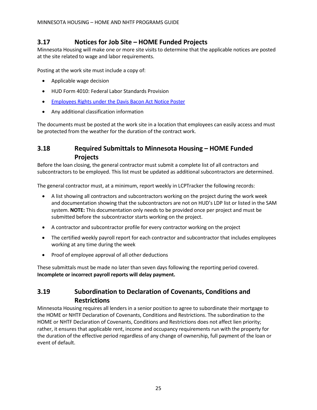# <span id="page-30-0"></span>**3.17 Notices for Job Site – HOME Funded Projects**

Minnesota Housing will make one or more site visits to determine that the applicable notices are posted at the site related to wage and labor requirements.

Posting at the work site must include a copy of:

- Applicable wage decision
- HUD Form 4010: Federal Labor Standards Provision
- [Employees Rights](http://www.dol.gov/whd/regs/compliance/posters/fedprojc.pdf) under the Davis Bacon Act Notice Poster
- Any additional classification information

The documents must be posted at the work site in a location that employees can easily access and must be protected from the weather for the duration of the contract work.

# <span id="page-30-1"></span>**3.18 Required Submittals to Minnesota Housing – HOME Funded Projects**

Before the loan closing, the general contractor must submit a complete list of all contractors and subcontractors to be employed. This list must be updated as additional subcontractors are determined.

The general contractor must, at a minimum, report weekly in LCPTracker the following records:

- A list showing all contractors and subcontractors working on the project during the work week and documentation showing that the subcontractors are not on HUD's LDP list or listed in the SAM system. **NOTE:** This documentation only needs to be provided once per project and must be submitted before the subcontractor starts working on the project.
- A contractor and subcontractor profile for every contractor working on the project
- The certified weekly payroll report for each contractor and subcontractor that includes employees working at any time during the week
- Proof of employee approval of all other deductions

These submittals must be made no later than seven days following the reporting period covered. **Incomplete or incorrect payroll reports will delay payment.**

# <span id="page-30-2"></span>**3.19 Subordination to Declaration of Covenants, Conditions and Restrictions**

Minnesota Housing requires all lenders in a senior position to agree to subordinate their mortgage to the HOME or NHTF Declaration of Covenants, Conditions and Restrictions. The subordination to the HOME or NHTF Declaration of Covenants, Conditions and Restrictions does not affect lien priority; rather, it ensures that applicable rent, income and occupancy requirements run with the property for the duration of the effective period regardless of any change of ownership, full payment of the loan or event of default.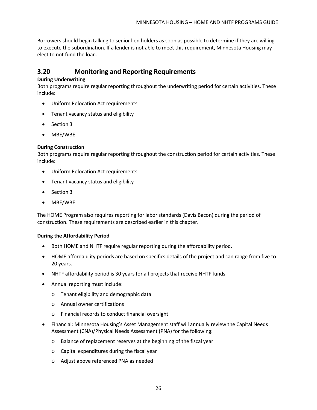Borrowers should begin talking to senior lien holders as soon as possible to determine if they are willing to execute the subordination. If a lender is not able to meet this requirement, Minnesota Housing may elect to not fund the loan.

# <span id="page-31-0"></span>**3.20 Monitoring and Reporting Requirements**

#### **During Underwriting**

Both programs require regular reporting throughout the underwriting period for certain activities. These include:

- Uniform Relocation Act requirements
- Tenant vacancy status and eligibility
- Section 3
- MBE/WBE

#### **During Construction**

Both programs require regular reporting throughout the construction period for certain activities. These include:

- Uniform Relocation Act requirements
- Tenant vacancy status and eligibility
- Section 3
- MBE/WBE

The HOME Program also requires reporting for labor standards (Davis Bacon) during the period of construction. These requirements are described earlier in this chapter.

#### **During the Affordability Period**

- Both HOME and NHTF require regular reporting during the affordability period.
- HOME affordability periods are based on specifics details of the project and can range from five to 20 years.
- NHTF affordability period is 30 years for all projects that receive NHTF funds.
- Annual reporting must include:
	- o Tenant eligibility and demographic data
	- o Annual owner certifications
	- o Financial records to conduct financial oversight
- Financial: Minnesota Housing's Asset Management staff will annually review the Capital Needs Assessment (CNA)/Physical Needs Assessment (PNA) for the following:
	- o Balance of replacement reserves at the beginning of the fiscal year
	- o Capital expenditures during the fiscal year
	- o Adjust above referenced PNA as needed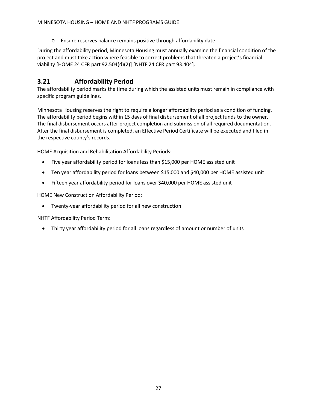o Ensure reserves balance remains positive through affordability date

During the affordability period, Minnesota Housing must annually examine the financial condition of the project and must take action where feasible to correct problems that threaten a project's financial viability [HOME 24 CFR part 92.504(d)(2)] [NHTF 24 CFR part 93.404].

# <span id="page-32-0"></span>**3.21 Affordability Period**

The affordability period marks the time during which the assisted units must remain in compliance with specific program guidelines.

Minnesota Housing reserves the right to require a longer affordability period as a condition of funding. The affordability period begins within 15 days of final disbursement of all project funds to the owner. The final disbursement occurs after project completion and submission of all required documentation. After the final disbursement is completed, an Effective Period Certificate will be executed and filed in the respective county's records.

HOME Acquisition and Rehabilitation Affordability Periods:

- Five year affordability period for loans less than \$15,000 per HOME assisted unit
- Ten year affordability period for loans between \$15,000 and \$40,000 per HOME assisted unit
- Fifteen year affordability period for loans over \$40,000 per HOME assisted unit

HOME New Construction Affordability Period:

• Twenty-year affordability period for all new construction

NHTF Affordability Period Term:

• Thirty year affordability period for all loans regardless of amount or number of units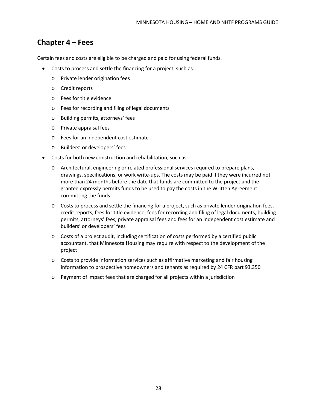# <span id="page-33-0"></span>**Chapter 4 – Fees**

Certain fees and costs are eligible to be charged and paid for using federal funds.

- Costs to process and settle the financing for a project, such as:
	- o Private lender origination fees
	- o Credit reports
	- o Fees for title evidence
	- o Fees for recording and filing of legal documents
	- o Building permits, attorneys' fees
	- o Private appraisal fees
	- o Fees for an independent cost estimate
	- o Builders' or developers' fees
- Costs for both new construction and rehabilitation, such as:
	- o Architectural, engineering or related professional services required to prepare plans, drawings, specifications, or work write-ups. The costs may be paid if they were incurred not more than 24 months before the date that funds are committed to the project and the grantee expressly permits funds to be used to pay the costs in the Written Agreement committing the funds
	- o Costs to process and settle the financing for a project, such as private lender origination fees, credit reports, fees for title evidence, fees for recording and filing of legal documents, building permits, attorneys' fees, private appraisal fees and fees for an independent cost estimate and builders' or developers' fees
	- o Costs of a project audit, including certification of costs performed by a certified public accountant, that Minnesota Housing may require with respect to the development of the project
	- $\circ$  Costs to provide information services such as affirmative marketing and fair housing information to prospective homeowners and tenants as required by 24 CFR part 93.350
	- o Payment of impact fees that are charged for all projects within a jurisdiction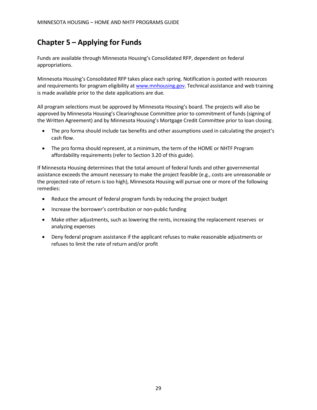# <span id="page-34-0"></span>**Chapter 5 – Applying for Funds**

Funds are available through Minnesota Housing's Consolidated RFP, dependent on federal appropriations.

Minnesota Housing's Consolidated RFP takes place each spring. Notification is posted with resources and requirements for program eligibility at [www.mnhousing.gov.](http://www.mnhousing.gov/sites/multifamily/applicationresources) Technical assistance and web training is made available prior to the date applications are due.

All program selections must be approved by Minnesota Housing's board. The projects will also be approved by Minnesota Housing's Clearinghouse Committee prior to commitment of funds (signing of the Written Agreement) and by Minnesota Housing's Mortgage Credit Committee prior to loan closing.

- The pro forma should include tax benefits and other assumptions used in calculating the project's cash flow.
- The pro forma should represent, at a minimum, the term of the HOME or NHTF Program affordability requirements (refer to Section 3.20 of this guide).

If Minnesota Housing determines that the total amount of federal funds and other governmental assistance exceeds the amount necessary to make the project feasible (e.g., costs are unreasonable or the projected rate of return is too high), Minnesota Housing will pursue one or more of the following remedies:

- Reduce the amount of federal program funds by reducing the project budget
- Increase the borrower's contribution or non-public funding
- Make other adjustments, such as lowering the rents, increasing the replacement reserves or analyzing expenses
- Deny federal program assistance if the applicant refuses to make reasonable adjustments or refuses to limit the rate of return and/or profit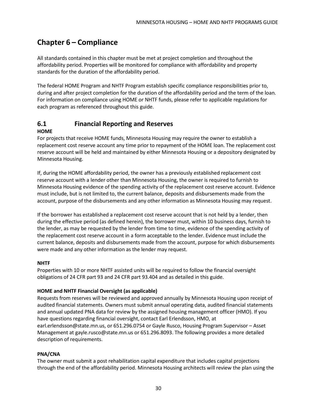# <span id="page-35-0"></span>**Chapter 6 – Compliance**

All standards contained in this chapter must be met at project completion and throughout the affordability period. Properties will be monitored for compliance with affordability and property standards for the duration of the affordability period.

The federal HOME Program and NHTF Program establish specific compliance responsibilities prior to, during and after project completion for the duration of the affordability period and the term of the loan. For information on compliance using HOME or NHTF funds, please refer to applicable regulations for each program as referenced throughout this guide.

### <span id="page-35-1"></span>**6.1 Financial Reporting and Reserves**

#### **HOME**

For projects that receive HOME funds, Minnesota Housing may require the owner to establish a replacement cost reserve account any time prior to repayment of the HOME loan. The replacement cost reserve account will be held and maintained by either Minnesota Housing or a depository designated by Minnesota Housing.

If, during the HOME affordability period, the owner has a previously established replacement cost reserve account with a lender other than Minnesota Housing, the owner is required to furnish to Minnesota Housing evidence of the spending activity of the replacement cost reserve account. Evidence must include, but is not limited to, the current balance, deposits and disbursements made from the account, purpose of the disbursements and any other information as Minnesota Housing may request.

If the borrower has established a replacement cost reserve account that is not held by a lender, then during the effective period (as defined herein), the borrower must, within 10 business days, furnish to the lender, as may be requested by the lender from time to time, evidence of the spending activity of the replacement cost reserve account in a form acceptable to the lender. Evidence must include the current balance, deposits and disbursements made from the account, purpose for which disbursements were made and any other information as the lender may request.

#### **NHTF**

Properties with 10 or more NHTF assisted units will be required to follow the financial oversight obligations of 24 CFR part 93 and 24 CFR part 93.404 and as detailed in this guide.

#### **HOME and NHTF Financial Oversight (as applicable)**

Requests from reserves will be reviewed and approved annually by Minnesota Housing upon receipt of audited financial statements. Owners must submit annual operating data, audited financial statements and annual updated PNA data for review by the assigned housing management officer (HMO). If you have questions regarding financial oversight, contact Earl Erlendsson, HMO, a[t](mailto:earl.erlendsson@state.mn.us) [earl.erlendsson@state.mn.us,](mailto:earl.erlendsson@state.mn.us) or 651.296.0754 or Gayle Rusco, Housing Program Supervisor – Asset Management at [gayle.rusco@state.mn.us](mailto:gayle.rusco@state.mn.us) or 651.296.8093. The following provides a more detailed description of requirements.

#### **PNA/CNA**

The owner must submit a post rehabilitation capital expenditure that includes capital projections through the end of the affordability period. Minnesota Housing architects will review the plan using the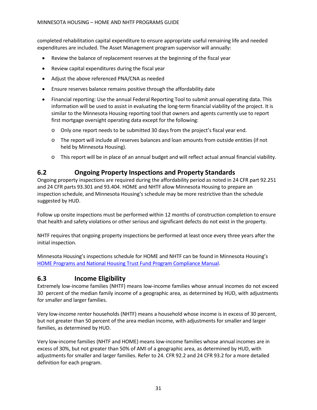completed rehabilitation capital expenditure to ensure appropriate useful remaining life and needed expenditures are included. The Asset Management program supervisor will annually:

- Review the balance of replacement reserves at the beginning of the fiscal year
- Review capital expenditures during the fiscal year
- Adjust the above referenced PNA/CNA as needed
- Ensure reserves balance remains positive through the affordability date
- Financial reporting: Use the annual Federal Reporting Tool to submit annual operating data. This information will be used to assist in evaluating the long-term financial viability of the project. It is similar to the Minnesota Housing reporting tool that owners and agents currently use to report first mortgage oversight operating data except for the following:
	- o Only one report needs to be submitted 30 days from the project's fiscal year end.
	- o The report will include all reserves balances and loan amounts from outside entities (if not held by Minnesota Housing).
	- o This report will be in place of an annual budget and will reflect actual annual financial viability.

### <span id="page-36-0"></span>**6.2 Ongoing Property Inspections and Property Standards**

Ongoing property inspections are required during the affordability period as noted in 24 CFR part 92.251 and 24 CFR parts 93.301 and 93.404. HOME and NHTF allow Minnesota Housing to prepare an inspection schedule, and Minnesota Housing's schedule may be more restrictive than the schedule suggested by HUD.

Follow up onsite inspections must be performed within 12 months of construction completion to ensure that health and safety violations or other serious and significant defects do not exist in the property.

NHTF requires that ongoing property inspections be performed at least once every three years after the initial inspection.

Minnesota Housing's inspections schedule for HOME and NHTF can be found in Minnesota Housing's HOME Programs and National Housing Trust [Fund Program](http://www.mnhousing.gov/get/MHFA_008993) Compliance Manual.

### <span id="page-36-1"></span>**6.3 Income Eligibility**

Extremely low-income families (NHTF) means low-income families whose annual incomes do not exceed 30 percent of the median family income of a geographic area, as determined by HUD, with adjustments for smaller and larger families.

Very low-income renter households (NHTF) means a household whose income is in excess of 30 percent, but not greater than 50 percent of the area median income, with adjustments for smaller and larger families, as determined by HUD.

Very low-income families (NHTF and HOME) means low-income families whose annual incomes are in excess of 30%, but not greater than 50% of AMI of a geographic area, as determined by HUD, with adjustments for smaller and larger families. Refer to 24. CFR 92.2 and 24 CFR 93.2 for a more detailed definition for each program.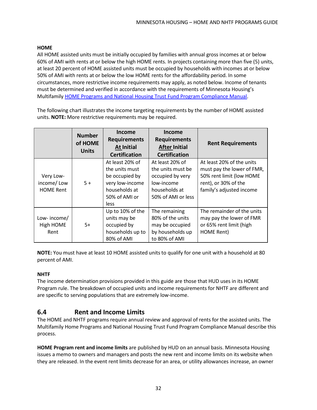#### **HOME**

All HOME assisted units must be initially occupied by families with annual gross incomes at or below 60% of AMI with rents at or below the high HOME rents. In projects containing more than five (5) units, at least 20 percent of HOME assisted units must be occupied by households with incomes at or below 50% of AMI with rents at or below the low HOME rents for the affordability period. In some circumstances, more restrictive income requirements may apply, as noted below. Income of tenants must be determined and verified in accordance with the requirements of Minnesota Housing's Multifamily HOME Programs and National Housing Trust [Fund Program Compliance](http://www.mnhousing.gov/get/MHFA_008993) Manual.

The following chart illustrates the income targeting requirements by the number of HOME assisted units. **NOTE:** More restrictive requirements may be required.

|                                             | <b>Number</b><br>of HOME<br><b>Units</b> | <b>Income</b><br><b>Requirements</b><br><b>At Initial</b><br><b>Certification</b>                                | Income<br><b>Requirements</b><br><b>After Initial</b><br><b>Certification</b>                                 | <b>Rent Requirements</b>                                                                                                                |
|---------------------------------------------|------------------------------------------|------------------------------------------------------------------------------------------------------------------|---------------------------------------------------------------------------------------------------------------|-----------------------------------------------------------------------------------------------------------------------------------------|
| Very Low-<br>income/Low<br><b>HOME Rent</b> | $5+$                                     | At least 20% of<br>the units must<br>be occupied by<br>very low-income<br>households at<br>50% of AMI or<br>less | At least 20% of<br>the units must be<br>occupied by very<br>low-income<br>households at<br>50% of AMI or less | At least 20% of the units<br>must pay the lower of FMR,<br>50% rent limit (low HOME<br>rent), or 30% of the<br>family's adjusted income |
| Low-income/<br>High HOME<br>Rent            | $5+$                                     | Up to 10% of the<br>units may be<br>occupied by<br>households up to<br>80% of AMI                                | The remaining<br>80% of the units<br>may be occupied<br>by households up<br>to 80% of AMI                     | The remainder of the units<br>may pay the lower of FMR<br>or 65% rent limit (high<br>HOME Rent)                                         |

**NOTE:** You must have at least 10 HOME assisted units to qualify for one unit with a household at 80 percent of AMI.

#### **NHTF**

The income determination provisions provided in this guide are those that HUD uses in its HOME Program rule. The breakdown of occupied units and income requirements for NHTF are different and are specific to serving populations that are extremely low-income.

# <span id="page-37-0"></span>**6.4 Rent and Income Limits**

The HOME and NHTF programs require annual review and approval of rents for the assisted units. The Multifamily Home Programs and National Housing Trust Fund Program Compliance Manual describe this process.

**HOME Program rent and income limits** are published by HUD on an annual basis. Minnesota Housing issues a memo to owners and managers and posts the new rent and income limits on its website when they are released. In the event rent limits decrease for an area, or utility allowances increase, an owner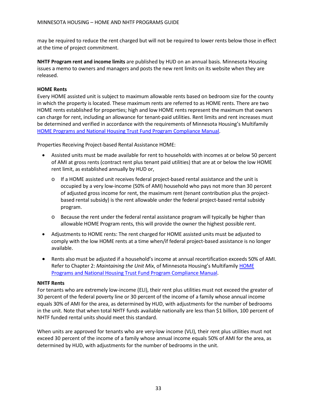may be required to reduce the rent charged but will not be required to lower rents below those in effect at the time of project commitment.

**NHTF Program rent and income limits** are published by HUD on an annual basis. Minnesota Housing issues a memo to owners and managers and posts the new rent limits on its website when they are released.

#### **HOME Rents**

Every HOME assisted unit is subject to maximum allowable rents based on bedroom size for the county in which the property is located. These maximum rents are referred to as HOME rents. There are two HOME rents established for properties; high and low HOME rents represent the maximum that owners can charge for rent, including an allowance for tenant-paid utilities. Rent limits and rent increases must be determined and verified in accordance with the requirements of Minnesota Housing's Multifamily HOME Programs and National Housing Trust [Fund Program](http://www.mnhousing.gov/get/MHFA_008993) Compliance Manual.

Properties Receiving Project-based Rental Assistance HOME:

- Assisted units must be made available for rent to households with incomes at or below 50 percent of AMI at gross rents (contract rent plus tenant paid utilities) that are at or below the low HOME rent limit, as established annually by HUD or,
	- o If a HOME assisted unit receives federal project-based rental assistance and the unit is occupied by a very low-income (50% of AMI) household who pays not more than 30 percent of adjusted gross income for rent, the maximum rent (tenant contribution plus the projectbased rental subsidy) is the rent allowable under the federal project-based rental subsidy program.
	- $\circ$  Because the rent under the federal rental assistance program will typically be higher than allowable HOME Program rents, this will provide the owner the highest possible rent.
- Adjustments to HOME rents: The rent charged for HOME assisted units must be adjusted to comply with the low HOME rents at a time when/if federal project-based assistance is no longer available.
- Rents also must be adjusted if a household's income at annual recertification exceeds 50% of AMI. Refer to Chapter 2: *Maintaining the Unit Mix*, of Minnesota Housing's Multifamily [HOME](http://www.mnhousing.gov/get/MHFA_008993) Programs and National Housing Trust [Fund Program Compliance](http://www.mnhousing.gov/get/MHFA_008993) Manual.

#### **NHTF Rents**

For tenants who are extremely low-income (ELI), their rent plus utilities must not exceed the greater of 30 percent of the federal poverty line or 30 percent of the income of a family whose annual income equals 30% of AMI for the area, as determined by HUD, with adjustments for the number of bedrooms in the unit. Note that when total NHTF funds available nationally are less than \$1 billion, 100 percent of NHTF funded rental units should meet this standard.

When units are approved for tenants who are very-low income (VLI), their rent plus utilities must not exceed 30 percent of the income of a family whose annual income equals 50% of AMI for the area, as determined by HUD, with adjustments for the number of bedrooms in the unit.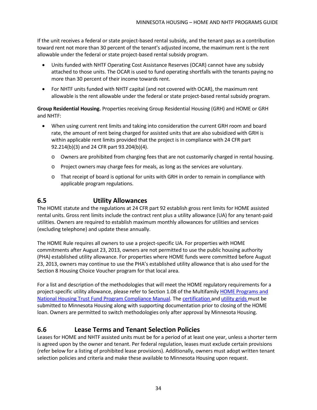If the unit receives a federal or state project-based rental subsidy, and the tenant pays as a contribution toward rent not more than 30 percent of the tenant's adjusted income, the maximum rent is the rent allowable under the federal or state project-based rental subsidy program.

- Units funded with NHTF Operating Cost Assistance Reserves (OCAR) cannot have any subsidy attached to those units. The OCAR is used to fund operating shortfalls with the tenants paying no more than 30 percent of their income towards rent.
- For NHTF units funded with NHTF capital (and not covered with OCAR), the maximum rent allowable is the rent allowable under the federal or state project-based rental subsidy program.

**Group Residential Housing.** Properties receiving Group Residential Housing (GRH) and HOME or GRH and NHTF:

- When using current rent limits and taking into consideration the current GRH room and board rate, the amount of rent being charged for assisted units that are also subsidized with GRH is within applicable rent limits provided that the project is in compliance with 24 CFR part 92.214(b)(3) and 24 CFR part 93.204(b)(4).
	- o Owners are prohibited from charging fees that are not customarily charged in rental housing.
	- o Project owners may charge fees for meals, as long as the services are voluntary.
	- o That receipt of board is optional for units with GRH in order to remain in compliance with applicable program regulations.

# <span id="page-39-0"></span>**6.5 Utility Allowances**

The HOME statute and the regulations at 24 CFR part 92 establish gross rent limits for HOME assisted rental units. Gross rent limits include the contract rent plus a utility allowance (UA) for any tenant-paid utilities. Owners are required to establish maximum monthly allowances for utilities and services (excluding telephone) and update these annually.

The HOME Rule requires all owners to use a project-specific UA. For properties with HOME commitments after August 23, 2013, owners are not permitted to use the public housing authority (PHA) established utility allowance. For properties where HOME funds were committed before August 23, 2013, owners may continue to use the PHA's established utility allowance that is also used for the Section 8 Housing Choice Voucher program for that local area.

For a list and description of the methodologies that will meet the HOME regulatory requirements for a project-specific utility allowance, please refer to Section 1.08 of the Multifamily HOME [Programs](http://www.mnhousing.gov/get/MHFA_008993) an[d](http://www.mnhousing.gov/get/MHFA_008993) National Housing Trust Fund [Program Compliance](http://www.mnhousing.gov/get/MHFA_008993) Manual. The [certification](http://www.mnhousing.gov/get/MHFA_007393) and [utility](http://www.mnhousing.gov/get/MHFA_006186) grids must be submitted to Minnesota Housing along with supporting documentation prior to closing of the HOME loan. Owners are permitted to switch methodologies only after approval by Minnesota Housing.

# <span id="page-39-1"></span>**6.6 Lease Terms and Tenant Selection Policies**

Leases for HOME and NHTF assisted units must be for a period of at least one year, unless a shorter term is agreed upon by the owner and tenant. Per federal regulation, leases must exclude certain provisions (refer below for a listing of prohibited lease provisions). Additionally, owners must adopt written tenant selection policies and criteria and make these available to Minnesota Housing upon request.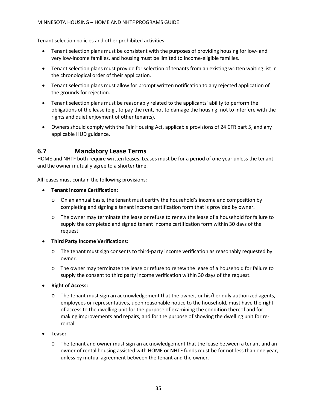Tenant selection policies and other prohibited activities:

- Tenant selection plans must be consistent with the purposes of providing housing for low- and very low-income families, and housing must be limited to income-eligible families.
- Tenant selection plans must provide for selection of tenants from an existing written waiting list in the chronological order of their application.
- Tenant selection plans must allow for prompt written notification to any rejected application of the grounds for rejection.
- Tenant selection plans must be reasonably related to the applicants' ability to perform the obligations of the lease (e.g., to pay the rent, not to damage the housing; not to interfere with the rights and quiet enjoyment of other tenants).
- Owners should comply with the Fair Housing Act, applicable provisions of 24 CFR part 5, and any applicable HUD guidance.

# <span id="page-40-0"></span>**6.7 Mandatory Lease Terms**

HOME and NHTF both require written leases. Leases must be for a period of one year unless the tenant and the owner mutually agree to a shorter time.

All leases must contain the following provisions:

- **Tenant Income Certification:**
	- o On an annual basis, the tenant must certify the household's income and composition by completing and signing a tenant income certification form that is provided by owner.
	- o The owner may terminate the lease or refuse to renew the lease of a household for failure to supply the completed and signed tenant income certification form within 30 days of the request.
- **Third Party Income Verifications:**
	- $\circ$  The tenant must sign consents to third-party income verification as reasonably requested by owner.
	- o The owner may terminate the lease or refuse to renew the lease of a household for failure to supply the consent to third party income verification within 30 days of the request.
- **Right of Access:**
	- o The tenant must sign an acknowledgement that the owner, or his/her duly authorized agents, employees or representatives, upon reasonable notice to the household, must have the right of access to the dwelling unit for the purpose of examining the condition thereof and for making improvements and repairs, and for the purpose of showing the dwelling unit for rerental.
- **Lease:**
	- o The tenant and owner must sign an acknowledgement that the lease between a tenant and an owner of rental housing assisted with HOME or NHTF funds must be for not less than one year, unless by mutual agreement between the tenant and the owner.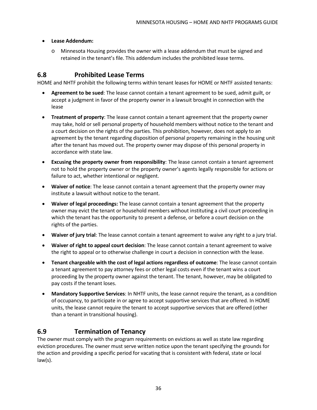#### • **Lease Addendum:**

o Minnesota Housing provides the owner with a lease addendum that must be signed and retained in the tenant's file. This addendum includes the prohibited lease terms.

# <span id="page-41-0"></span>**6.8 Prohibited Lease Terms**

HOME and NHTF prohibit the following terms within tenant leases for HOME or NHTF assisted tenants:

- **Agreement to be sued**: The lease cannot contain a tenant agreement to be sued, admit guilt, or accept a judgment in favor of the property owner in a lawsuit brought in connection with the lease
- **Treatment of property**: The lease cannot contain a tenant agreement that the property owner may take, hold or sell personal property of household members without notice to the tenant and a court decision on the rights of the parties. This prohibition, however, does not apply to an agreement by the tenant regarding disposition of personal property remaining in the housing unit after the tenant has moved out. The property owner may dispose of this personal property in accordance with state law.
- **Excusing the property owner from responsibility**: The lease cannot contain a tenant agreement not to hold the property owner or the property owner's agents legally responsible for actions or failure to act, whether intentional or negligent.
- **Waiver of notice**: The lease cannot contain a tenant agreement that the property owner may institute a lawsuit without notice to the tenant.
- **Waiver of legal proceedings:** The lease cannot contain a tenant agreement that the property owner may evict the tenant or household members without instituting a civil court proceeding in which the tenant has the opportunity to present a defense, or before a court decision on the rights of the parties.
- **Waiver of jury trial**: The lease cannot contain a tenant agreement to waive any right to a jury trial.
- **Waiver of right to appeal court decision**: The lease cannot contain a tenant agreement to waive the right to appeal or to otherwise challenge in court a decision in connection with the lease.
- **Tenant chargeable with the cost of legal actions regardless of outcome**: The lease cannot contain a tenant agreement to pay attorney fees or other legal costs even if the tenant wins a court proceeding by the property owner against the tenant. The tenant, however, may be obligated to pay costs if the tenant loses.
- **Mandatory Supportive Services**: In NHTF units, the lease cannot require the tenant, as a condition of occupancy, to participate in or agree to accept supportive services that are offered. In HOME units, the lease cannot require the tenant to accept supportive services that are offered (other than a tenant in transitional housing).

# <span id="page-41-1"></span>**6.9 Termination of Tenancy**

The owner must comply with the program requirements on evictions as well as state law regarding eviction procedures. The owner must serve written notice upon the tenant specifying the grounds for the action and providing a specific period for vacating that is consistent with federal, state or local law(s).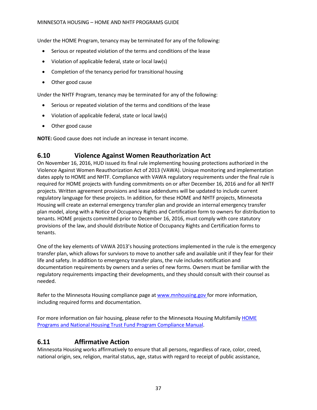Under the HOME Program, tenancy may be terminated for any of the following:

- Serious or repeated violation of the terms and conditions of the lease
- Violation of applicable federal, state or local law(s)
- Completion of the tenancy period for transitional housing
- Other good cause

Under the NHTF Program, tenancy may be terminated for any of the following:

- Serious or repeated violation of the terms and conditions of the lease
- Violation of applicable federal, state or local law(s)
- Other good cause

**NOTE:** Good cause does not include an increase in tenant income.

# <span id="page-42-0"></span>**6.10 Violence Against Women Reauthorization Act**

On November 16, 2016, HUD issued its final rule implementing housing protections authorized in the Violence Against Women Reauthorization Act of 2013 (VAWA). Unique monitoring and implementation dates apply to HOME and NHTF. Compliance with VAWA regulatory requirements under the final rule is required for HOME projects with funding commitments on or after December 16, 2016 and for all NHTF projects. Written agreement provisions and lease addendums will be updated to include current regulatory language for these projects. In addition, for these HOME and NHTF projects, Minnesota Housing will create an external emergency transfer plan and provide an internal emergency transfer plan model, along with a Notice of Occupancy Rights and Certification form to owners for distribution to tenants. HOME projects committed prior to December 16, 2016, must comply with core statutory provisions of the law, and should distribute Notice of Occupancy Rights and Certification forms to tenants.

One of the key elements of VAWA 2013's housing protections implemented in the rule is the emergency transfer plan, which allows for survivors to move to another safe and available unit if they fear for their life and safety. In addition to emergency transfer plans, the rule includes notification and documentation requirements by owners and a series of new forms. Owners must be familiar with the regulatory requirements impacting their developments, and they should consult with their counsel as needed.

Refer to the Minnesota Housing compliance page at [www.mnhousing.gov](http://mnhousing.gov/sites/Satellite?c=Page&cid=1358905290806&pagename=External%2FPage%2FEXTStandardLayout) for more information, including required forms and documentation.

For more information on fair housing, please refer to the Minnesota Housing Multifamily [HOME](http://www.mnhousing.gov/get/MHFA_008993) Programs and National Housing Trust [Fund Program Compliance](http://www.mnhousing.gov/get/MHFA_008993) Manual.

### <span id="page-42-1"></span>**6.11 Affirmative Action**

Minnesota Housing works affirmatively to ensure that all persons, regardless of race, color, creed, national origin, sex, religion, marital status, age, status with regard to receipt of public assistance,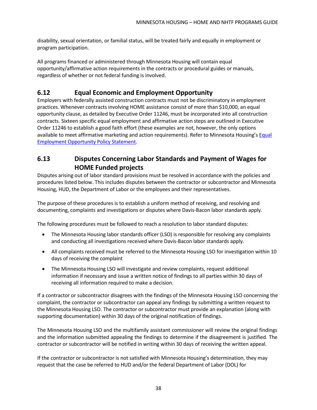disability, sexual orientation, or familial status, will be treated fairly and equally in employment or program participation.

All programs financed or administered through Minnesota Housing will contain equal opportunity/affirmative action requirements in the contracts or procedural guides or manuals, regardless of whether or not federal funding is involved.

# <span id="page-43-0"></span>**6.12 Equal Economic and Employment Opportunity**

Employers with federally assisted construction contracts must not be discriminatory in employment practices. Whenever contracts involving HOME assistance consist of more than \$10,000, an equal opportunity clause, as detailed by Executive Order 11246, must be incorporated into all construction contracts. Sixteen specific equal employment and affirmative action steps are outlined in Executive Order 11246 to establish a good faith effort (these examples are not, however, the only options available to meet affirmative marketing and action requirements). Refer to Minnesota Housing's [Equal](http://www.mnhousing.gov/cs/groups/multifamily/documents/document/mhfa_002447.rtf) [Employment](http://www.mnhousing.gov/cs/groups/multifamily/documents/document/mhfa_002447.rtf) Opportunity Policy Statement.

# <span id="page-43-1"></span>**6.13 Disputes Concerning Labor Standards and Payment of Wages for HOME Funded projects**

Disputes arising out of labor standard provisions must be resolved in accordance with the policies and procedures listed below. This includes disputes between the contractor or subcontractor and Minnesota Housing, HUD, the Department of Labor or the employees and their representatives.

The purpose of these procedures is to establish a uniform method of receiving, and resolving and documenting, complaints and investigations or disputes where Davis-Bacon labor standards apply.

The following procedures must be followed to reach a resolution to labor standard disputes:

- The Minnesota Housing labor standards officer (LSO) is responsible for resolving any complaints and conducting all investigations received where Davis-Bacon labor standards apply.
- All complaints received must be referred to the Minnesota Housing LSO for investigation within 10 days of receiving the complaint
- The Minnesota Housing LSO will investigate and review complaints, request additional information if necessary and issue a written notice of findings to all parties within 30 days of receiving all information required to make a decision.

If a contractor or subcontractor disagrees with the findings of the Minnesota Housing LSO concerning the complaint, the contractor or subcontractor can appeal any findings by submitting a written request to the Minnesota Housing LSO. The contractor or subcontractor must provide an explanation (along with supporting documentation) within 30 days of the original notification of findings.

The Minnesota Housing LSO and the multifamily assistant commissioner will review the original findings and the information submitted appealing the findings to determine if the disagreement is justified. The contractor or subcontractor will be notified in writing within 30 days of receiving the written appeal.

If the contractor or subcontractor is not satisfied with Minnesota Housing's determination, they may request that the case be referred to HUD and/or the federal Department of Labor (DOL) for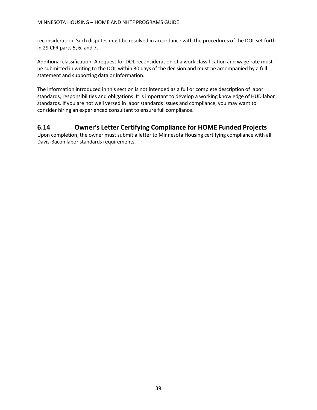reconsideration. Such disputes must be resolved in accordance with the procedures of the DOL set forth in 29 CFR parts 5, 6, and 7.

Additional classification: A request for DOL reconsideration of a work classification and wage rate must be submitted in writing to the DOL within 30 days of the decision and must be accompanied by a full statement and supporting data or information.

The information introduced in this section is not intended as a full or complete description of labor standards, responsibilities and obligations. It is important to develop a working knowledge of HUD labor standards. If you are not well versed in labor standards issues and compliance, you may want to consider hiring an experienced consultant to ensure full compliance.

# <span id="page-44-0"></span>**6.14 Owner's Letter Certifying Compliance for HOME Funded Projects**

Upon completion, the owner must submit a letter to Minnesota Housing certifying compliance with all Davis-Bacon labor standards requirements.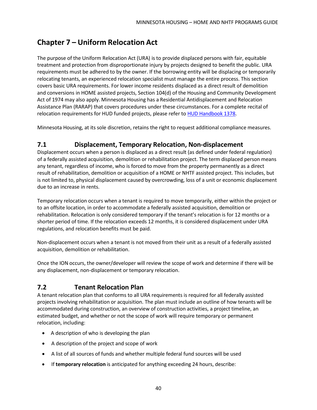# <span id="page-45-0"></span>**Chapter 7 – Uniform Relocation Act**

The purpose of the Uniform Relocation Act (URA) is to provide displaced persons with fair, equitable treatment and protection from disproportionate injury by projects designed to benefit the public. URA requirements must be adhered to by the owner. If the borrowing entity will be displacing or temporarily relocating tenants, an experienced relocation specialist must manage the entire process. This section covers basic URA requirements. For lower income residents displaced as a direct result of demolition and conversions in HOME assisted projects, Section 104(d) of the Housing and Community Development Act of 1974 may also apply. Minnesota Housing has a Residential Antidisplacement and Relocation Assistance Plan (RARAP) that covers procedures under these circumstances. For a complete recital of relocation requirements for HUD funded projects, please refer to HUD Handbook 1378.

Minnesota Housing, at its sole discretion, retains the right to request additional compliance measures.

### <span id="page-45-1"></span>**7.1 Displacement, Temporary Relocation, Non-displacement**

Displacement occurs when a person is displaced as a direct result (as defined under federal regulation) of a federally assisted acquisition, demolition or rehabilitation project. The term displaced person means any tenant, regardless of income, who is forced to move from the property permanently as a direct result of rehabilitation, demolition or acquisition of a HOME or NHTF assisted project. This includes, but is not limited to, physical displacement caused by overcrowding, loss of a unit or economic displacement due to an increase in rents.

Temporary relocation occurs when a tenant is required to move temporarily, either within the project or to an offsite location, in order to accommodate a federally assisted acquisition, demolition or rehabilitation. Relocation is only considered temporary if the tenant's relocation is for 12 months or a shorter period of time. If the relocation exceeds 12 months, it is considered displacement under URA regulations, and relocation benefits must be paid.

Non-displacement occurs when a tenant is not moved from their unit as a result of a federally assisted acquisition, demolition or rehabilitation.

Once the ION occurs, the owner/developer will review the scope of work and determine if there will be any displacement, non-displacement or temporary relocation.

# <span id="page-45-2"></span>**7.2 Tenant Relocation Plan**

A tenant relocation plan that conforms to all URA requirements is required for all federally assisted projects involving rehabilitation or acquisition. The plan must include an outline of how tenants will be accommodated during construction, an overview of construction activities, a project timeline, an estimated budget, and whether or not the scope of work will require temporary or permanent relocation, including:

- A description of who is developing the plan
- A description of the project and scope of work
- A list of all sources of funds and whether multiple federal fund sources will be used
- If **temporary relocation** is anticipated for anything exceeding 24 hours, describe: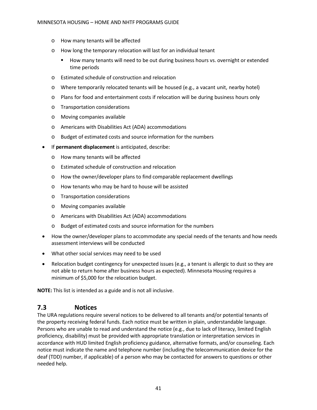- o How many tenants will be affected
- o How long the temporary relocation will last for an individual tenant
	- How many tenants will need to be out during business hours vs. overnight or extended time periods
- o Estimated schedule of construction and relocation
- o Where temporarily relocated tenants will be housed (e.g., a vacant unit, nearby hotel)
- o Plans for food and entertainment costs if relocation will be during business hours only
- o Transportation considerations
- o Moving companies available
- o Americans with Disabilities Act (ADA) accommodations
- o Budget of estimated costs and source information for the numbers
- If **permanent displacement** is anticipated, describe:
	- o How many tenants will be affected
	- o Estimated schedule of construction and relocation
	- o How the owner/developer plans to find comparable replacement dwellings
	- o How tenants who may be hard to house will be assisted
	- o Transportation considerations
	- o Moving companies available
	- o Americans with Disabilities Act (ADA) accommodations
	- o Budget of estimated costs and source information for the numbers
- How the owner/developer plans to accommodate any special needs of the tenants and how needs assessment interviews will be conducted
- What other social services may need to be used
- Relocation budget contingency for unexpected issues (e.g., a tenant is allergic to dust so they are not able to return home after business hours as expected). Minnesota Housing requires a minimum of \$5,000 for the relocation budget.

**NOTE:** This list is intended as a guide and is not all inclusive.

### <span id="page-46-0"></span>**7.3 Notices**

The URA regulations require several notices to be delivered to all tenants and/or potential tenants of the property receiving federal funds. Each notice must be written in plain, understandable language. Persons who are unable to read and understand the notice (e.g., due to lack of literacy, limited English proficiency, disability) must be provided with appropriate translation or interpretation services in accordance with HUD limited English proficiency guidance, alternative formats, and/or counseling. Each notice must indicate the name and telephone number (including the telecommunication device for the deaf (TDD) number, if applicable) of a person who may be contacted for answers to questions or other needed help.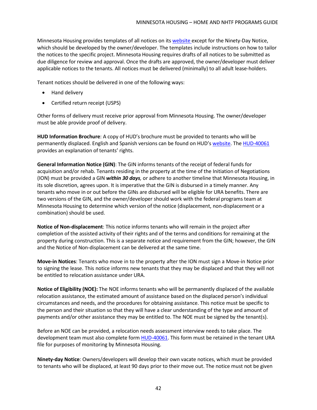Minnesota Housing provides templates of all notices on its website except for the Ninety-Day Notice, which should be developed by the owner/developer. The templates include instructions on how to tailor the notices to the specific project. Minnesota Housing requires drafts of all notices to be submitted as due diligence for review and approval. Once the drafts are approved, the owner/developer must deliver applicable notices to the tenants. All notices must be delivered (minimally) to all adult lease-holders.

Tenant notices should be delivered in one of the following ways:

- Hand delivery
- Certified return receipt (USPS)

Other forms of delivery must receive prior approval from Minnesota Housing. The owner/developer must be able provide proof of delivery.

**HUD Information Brochure**: A copy of HUD's brochure must be provided to tenants who will be permanently displaced. English and Spanish versions can be found on HUD's website. The [HUD-40061](http://portal.hud.gov/hudportal/documents/huddoc?id=1044cpd.pdf&utm_source=HUD%2BExchange%2BMailing%2BList&utm_campaign=c5000bd810-Revised_HUD_URA_Relocation_Claim_Forms_a7_12_2016&utm_medium=email&utm_term=0_f32b935a5f-c5000bd810-19366777) provides an explanation of tenants' rights.

**General Information Notice (GIN)**: The GIN informs tenants of the receipt of federal funds for acquisition and/or rehab. Tenants residing in the property at the time of the Initiation of Negotiations (ION) must be provided a GIN *within 30 days,* or adhere to another timeline that Minnesota Housing, in its sole discretion, agrees upon. It is imperative that the GIN is disbursed in a timely manner. Any tenants who move in or out before the GINs are disbursed will be eligible for URA benefits. There are two versions of the GIN, and the owner/developer should work with the federal programs team at Minnesota Housing to determine which version of the notice (displacement, non-displacement or a combination) should be used.

**Notice of Non-displacement**: This notice informs tenants who will remain in the project after completion of the assisted activity of their rights and of the terms and conditions for remaining at the property during construction. This is a separate notice and requirement from the GIN; however, the GIN and the Notice of Non-displacement can be delivered at the same time.

**Move-in Notices**: Tenants who move in to the property after the ION must sign a Move-in Notice prior to signing the lease. This notice informs new tenants that they may be displaced and that they will not be entitled to relocation assistance under URA.

**Notice of Eligibility (NOE):** The NOE informs tenants who will be permanently displaced of the available relocation assistance, the estimated amount of assistance based on the displaced person's individual circumstances and needs, and the procedures for obtaining assistance. This notice must be specific to the person and their situation so that they will have a clear understanding of the type and amount of payments and/or other assistance they may be entitled to. The NOE must be signed by the tenant(s).

Before an NOE can be provided, a relocation needs assessment interview needs to take place. The development team must also complete form **HUD-40061**. This form must be retained in the tenant URA file for purposes of monitoring by Minnesota Housing.

**Ninety-day Notice**: Owners/developers will develop their own vacate notices, which must be provided to tenants who will be displaced, at least 90 days prior to their move out. The notice must not be given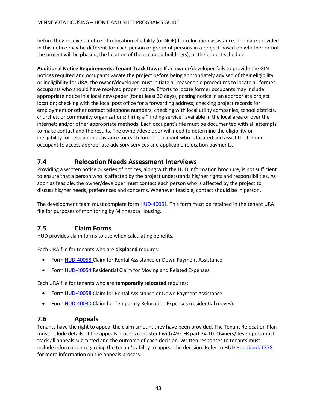before they receive a notice of relocation eligibility (or NOE) for relocation assistance. The date provided in this notice may be different for each person or group of persons in a project based on whether or not the project will be phased, the location of the occupied building(s), or the project schedule.

**Additional Notice Requirements: Tenant Track Down**: If an owner/developer fails to provide the GIN notices required and occupants vacate the project before being appropriately advised of their eligibility or ineligibility for URA, the owner/developer must initiate all reasonable procedures to locate all former occupants who should have received proper notice. Efforts to locate former occupants may include: appropriate notice in a local newspaper (for at least 30 days); posting notice in an appropriate project location; checking with the local post office for a forwarding address; checking project records for employment or other contact telephone numbers; checking with local utility companies, school districts, churches, or community organizations; hiring a "finding service" available in the local area or over the internet; and/or other appropriate methods. Each occupant's file must be documented with all attempts to make contact and the results. The owner/developer will need to determine the eligibility or ineligibility for relocation assistance for each former occupant who is located and assist the former occupant to access appropriate advisory services and applicable relocation payments.

# <span id="page-48-0"></span>**7.4 Relocation Needs Assessment Interviews**

Providing a written notice or series of notices, along with the HUD information brochure, is not sufficient to ensure that a person who is affected by the project understands his/her rights and responsibilities. As soon as feasible, the owner/developer must contact each person who is affected by the project to discuss his/her needs, preferences and concerns. Whenever feasible, contact should be in person.

The development team must complete form **HUD-40061**. This form must be retained in the tenant URA file for purposes of monitoring by Minnesota Housing.

# <span id="page-48-1"></span>**7.5 Claim Forms**

HUD provides claim forms to use when calculating benefits.

Each URA file for tenants who are **displaced** requires:

- Form [HUD-40058](http://portal.hud.gov/hudportal/documents/huddoc?id=40058.pdf&utm_source=HUD%2BExchange%2BMailing%2BList&utm_campaign=c5000bd810-Revised_HUD_URA_Relocation_Claim_Forms_a7_12_2016&utm_medium=email&utm_term=0_f32b935a5f-c5000bd810-19366777) Claim for Rental Assistance or Down Payment Assistance
- Form [HUD-40054](http://portal.hud.gov/hudportal/documents/huddoc?id=40054.pdf&utm_source=HUD%2BExchange%2BMailing%2BList&utm_campaign=c5000bd810-Revised_HUD_URA_Relocation_Claim_Forms_a7_12_2016&utm_medium=email&utm_term=0_f32b935a5f-c5000bd810-19366777) Residential Claim for Moving and Related Expenses

Each URA file for tenants who are **temporarily relocated** requires:

- Form [HUD-40058](http://portal.hud.gov/hudportal/documents/huddoc?id=40058.pdf&utm_source=HUD%2BExchange%2BMailing%2BList&utm_campaign=c5000bd810-Revised_HUD_URA_Relocation_Claim_Forms_a7_12_2016&utm_medium=email&utm_term=0_f32b935a5f-c5000bd810-19366777) Claim for Rental Assistance or Down Payment Assistance
- Form [HUD-40030](http://portal.hud.gov/hudportal/documents/huddoc?id=40030.pdf&utm_source=HUD%2BExchange%2BMailing%2BList&utm_campaign=c5000bd810-Revised_HUD_URA_Relocation_Claim_Forms_a7_12_2016&utm_medium=email&utm_term=0_f32b935a5f-c5000bd810-19366777) Claim for Temporary Relocation Expenses (residential moves).

### <span id="page-48-2"></span>**7.6 Appeals**

Tenants have the right to appeal the claim amount they have been provided. The Tenant Relocation Plan must include details of the appeals process consistent with 49 CFR part 24.10. Owners/developers must track all appeals submitted and the outcome of each decision. Written responses to tenants must include information regarding the tenant's ability to appeal the decision. Refer to HUD Handbook 1378 for more information on the appeals process.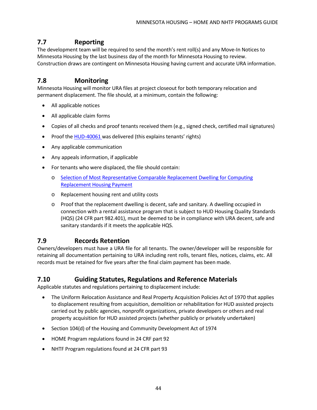# <span id="page-49-0"></span>**7.7 Reporting**

The development team will be required to send the month's rent roll(s) and any Move-In Notices to Minnesota Housing by the last business day of the month for Minnesota Housing to review. Construction draws are contingent on Minnesota Housing having current and accurate URA information.

# <span id="page-49-1"></span>**7.8 Monitoring**

Minnesota Housing will monitor URA files at project closeout for both temporary relocation and permanent displacement. The file should, at a minimum, contain the following:

- All applicable notices
- All applicable claim forms
- Copies of all checks and proof tenants received them (e.g., signed check, certified mail signatures)
- Proof the [HUD-40061](http://portal.hud.gov/hudportal/documents/huddoc?id=1044cpd.pdf&utm_source=HUD%2BExchange%2BMailing%2BList&utm_campaign=c5000bd810-Revised_HUD_URA_Relocation_Claim_Forms_a7_12_2016&utm_medium=email&utm_term=0_f32b935a5f-c5000bd810-19366777) was delivered (this explains tenants' rights)
- Any applicable communication
- Any appeals information, if applicable
- For tenants who were displaced, the file should contain:
	- o Selection of Most [Representative](http://portal.hud.gov/hudportal/documents/huddoc?id=40061.pdf) Comparable Replacement Dwelling for Computing [Replacement](http://portal.hud.gov/hudportal/documents/huddoc?id=40061.pdf) Housing Payment
	- o Replacement housing rent and utility costs
	- o Proof that the replacement dwelling is decent, safe and sanitary. A dwelling occupied in connection with a rental assistance program that is subject to HUD Housing Quality Standards (HQS) (24 CFR part 982.401), must be deemed to be in compliance with URA decent, safe and sanitary standards if it meets the applicable HQS.

### <span id="page-49-2"></span>**7.9 Records Retention**

Owners/developers must have a URA file for all tenants. The owner/developer will be responsible for retaining all documentation pertaining to URA including rent rolls, tenant files, notices, claims, etc. All records must be retained for five years after the final claim payment has been made.

### <span id="page-49-3"></span>**7.10 Guiding Statutes, Regulations and Reference Materials**

Applicable statutes and regulations pertaining to displacement include:

- The Uniform Relocation Assistance and Real Property Acquisition Policies Act of 1970 that applies to displacement resulting from acquisition, demolition or rehabilitation for HUD assisted projects carried out by public agencies, nonprofit organizations, private developers or others and real property acquisition for HUD assisted projects (whether publicly or privately undertaken)
- Section 104(d) of the Housing and Community Development Act of 1974
- HOME Program regulations found in 24 CRF part 92
- NHTF Program regulations found at 24 CFR part 93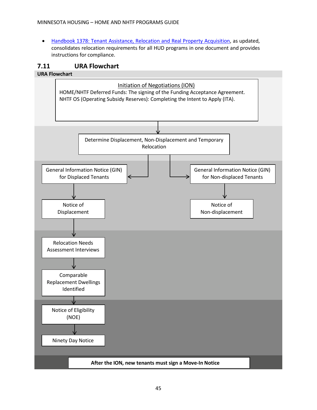• Handbook 1378: Tenant Assistance, Relocation and Real Property Acquisition, as updated, consolidates relocation requirements for all HUD programs in one document and provides instructions for compliance.

### <span id="page-50-0"></span>**7.11 URA Flowchart**

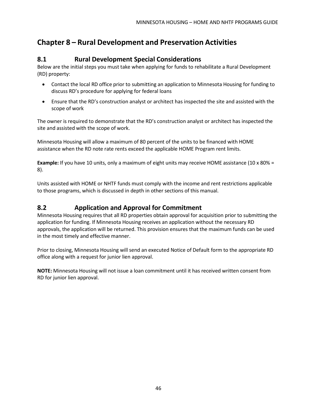# <span id="page-51-1"></span><span id="page-51-0"></span>**Chapter 8 – Rural Development and Preservation Activities**

# **8.1 Rural Development Special Considerations**

Below are the initial steps you must take when applying for funds to rehabilitate a Rural Development (RD) property:

- Contact the local RD office prior to submitting an application to Minnesota Housing for funding to discuss RD's procedure for applying for federal loans
- Ensure that the RD's construction analyst or architect has inspected the site and assisted with the scope of work

The owner is required to demonstrate that the RD's construction analyst or architect has inspected the site and assisted with the scope of work.

Minnesota Housing will allow a maximum of 80 percent of the units to be financed with HOME assistance when the RD note rate rents exceed the applicable HOME Program rent limits.

**Example:** If you have 10 units, only a maximum of eight units may receive HOME assistance (10 x 80% = 8).

Units assisted with HOME or NHTF funds must comply with the income and rent restrictions applicable to those programs, which is discussed in depth in other sections of this manual.

# <span id="page-51-2"></span>**8.2 Application and Approval for Commitment**

Minnesota Housing requires that all RD properties obtain approval for acquisition prior to submitting the application for funding. If Minnesota Housing receives an application without the necessary RD approvals, the application will be returned. This provision ensures that the maximum funds can be used in the most timely and effective manner.

Prior to closing, Minnesota Housing will send an executed Notice of Default form to the appropriate RD office along with a request for junior lien approval.

**NOTE:** Minnesota Housing will not issue a loan commitment until it has received written consent from RD for junior lien approval.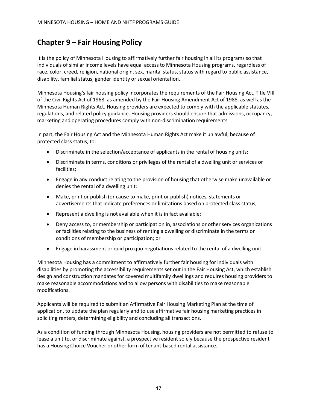# <span id="page-52-0"></span>**Chapter 9 – Fair Housing Policy**

It is the policy of Minnesota Housing to affirmatively further fair housing in all its programs so that individuals of similar income levels have equal access to Minnesota Housing programs, regardless of race, color, creed, religion, national origin, sex, marital status, status with regard to public assistance, disability, familial status, gender identity or sexual orientation.

Minnesota Housing's fair housing policy incorporates the requirements of the Fair Housing Act, Title VIII of the Civil Rights Act of 1968, as amended by the Fair Housing Amendment Act of 1988, as well as the Minnesota Human Rights Act. Housing providers are expected to comply with the applicable statutes, regulations, and related policy guidance. Housing providers should ensure that admissions, occupancy, marketing and operating procedures comply with non-discrimination requirements.

In part, the Fair Housing Act and the Minnesota Human Rights Act make it unlawful, because of protected class status, to:

- Discriminate in the selection/acceptance of applicants in the rental of housing units;
- Discriminate in terms, conditions or privileges of the rental of a dwelling unit or services or facilities;
- Engage in any conduct relating to the provision of housing that otherwise make unavailable or denies the rental of a dwelling unit;
- Make, print or publish (or cause to make, print or publish) notices, statements or advertisements that indicate preferences or limitations based on protected class status;
- Represent a dwelling is not available when it is in fact available;
- Deny access to, or membership or participation in, associations or other services organizations or facilities relating to the business of renting a dwelling or discriminate in the terms or conditions of membership or participation; or
- Engage in harassment or quid pro quo negotiations related to the rental of a dwelling unit.

Minnesota Housing has a commitment to affirmatively further fair housing for individuals with disabilities by promoting the accessibility requirements set out in the Fair Housing Act, which establish design and construction mandates for covered multifamily dwellings and requires housing providers to make reasonable accommodations and to allow persons with disabilities to make reasonable modifications.

Applicants will be required to submit an Affirmative Fair Housing Marketing Plan at the time of application, to update the plan regularly and to use affirmative fair housing marketing practices in soliciting renters, determining eligibility and concluding all transactions.

As a condition of funding through Minnesota Housing, housing providers are not permitted to refuse to lease a unit to, or discriminate against, a prospective resident solely because the prospective resident has a Housing Choice Voucher or other form of tenant-based rental assistance.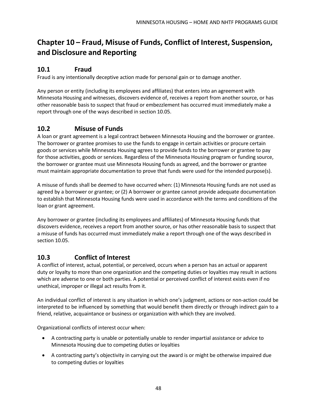# <span id="page-53-0"></span>**Chapter 10 – Fraud, Misuse of Funds, Conflict of Interest, Suspension, and Disclosure and Reporting**

# **10.1 Fraud**

Fraud is any intentionally deceptive action made for personal gain or to damage another.

Any person or entity (including its employees and affiliates) that enters into an agreement with Minnesota Housing and witnesses, discovers evidence of, receives a report from another source, or has other reasonable basis to suspect that fraud or embezzlement has occurred must immediately make a report through one of the ways described in section 10.05.

# **10.2 Misuse of Funds**

A loan or grant agreement is a legal contract between Minnesota Housing and the borrower or grantee. The borrower or grantee promises to use the funds to engage in certain activities or procure certain goods or services while Minnesota Housing agrees to provide funds to the borrower or grantee to pay for those activities, goods or services. Regardless of the Minnesota Housing program or funding source, the borrower or grantee must use Minnesota Housing funds as agreed, and the borrower or grantee must maintain appropriate documentation to prove that funds were used for the intended purpose(s).

A misuse of funds shall be deemed to have occurred when: (1) Minnesota Housing funds are not used as agreed by a borrower or grantee; or (2) A borrower or grantee cannot provide adequate documentation to establish that Minnesota Housing funds were used in accordance with the terms and conditions of the loan or grant agreement.

Any borrower or grantee (including its employees and affiliates) of Minnesota Housing funds that discovers evidence, receives a report from another source, or has other reasonable basis to suspect that a misuse of funds has occurred must immediately make a report through one of the ways described in section 10.05.

# **10.3 Conflict of Interest**

A conflict of interest, actual, potential, or perceived, occurs when a person has an actual or apparent duty or loyalty to more than one organization and the competing duties or loyalties may result in actions which are adverse to one or both parties. A potential or perceived conflict of interest exists even if no unethical, improper or illegal act results from it.

An individual conflict of interest is any situation in which one's judgment, actions or non-action could be interpreted to be influenced by something that would benefit them directly or through indirect gain to a friend, relative, acquaintance or business or organization with which they are involved.

Organizational conflicts of interest occur when:

- A contracting party is unable or potentially unable to render impartial assistance or advice to Minnesota Housing due to competing duties or loyalties
- A contracting party's objectivity in carrying out the award is or might be otherwise impaired due to competing duties or loyalties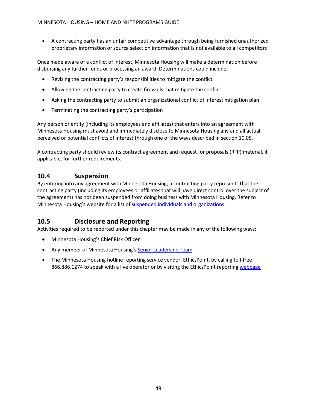• A contracting party has an unfair competitive advantage through being furnished unauthorized proprietary information or source selection information that is not available to all competitors

Once made aware of a conflict of interest, Minnesota Housing will make a determination before disbursing any further funds or processing an award. Determinations could include:

- Revising the contracting party's responsibilities to mitigate the conflict
- Allowing the contracting party to create firewalls that mitigate the conflict
- Asking the contracting party to submit an organizational conflict of interest mitigation plan
- Terminating the contracting party's participation

Any person or entity (including its employees and affiliates) that enters into an agreement with Minnesota Housing must avoid and immediately disclose to Minnesota Housing any and all actual, perceived or potential conflicts of interest through one of the ways described in section 10.05.

A contracting party should review its contract agreement and request for proposals (RFP) material, if applicable, for further requirements.

# **10.4 Suspension**

By entering into any agreement with Minnesota Housing, a contracting party represents that the contracting party (including its employees or affiliates that will have direct control over the subject of the agreement) has not been suspended from doing business with Minnesota Housing. Refer to Minnesota Housing's website for a list o[f suspended individuals](http://www.mnhousing.gov/sites/np/suspensions) and organizations.

# **10.5 Disclosure and Reporting**

Activities required to be reported under this chapter may be made in any of the following ways:

- Minnesota Housing's Chief Risk Officer
- Any member of Minnesota Housing's Senior [Leadership Team](http://www.mnhousing.gov/sites/np/leadership)
- The Minnesota Housing hotline reporting service vendor, EthicsPoint, by calling toll-free 866.886.1274 to speak with a live operator or by visiting the EthicsPoint reporting [webpage](https://secure.ethicspoint.com/domain/media/en/gui/30639/index.html)